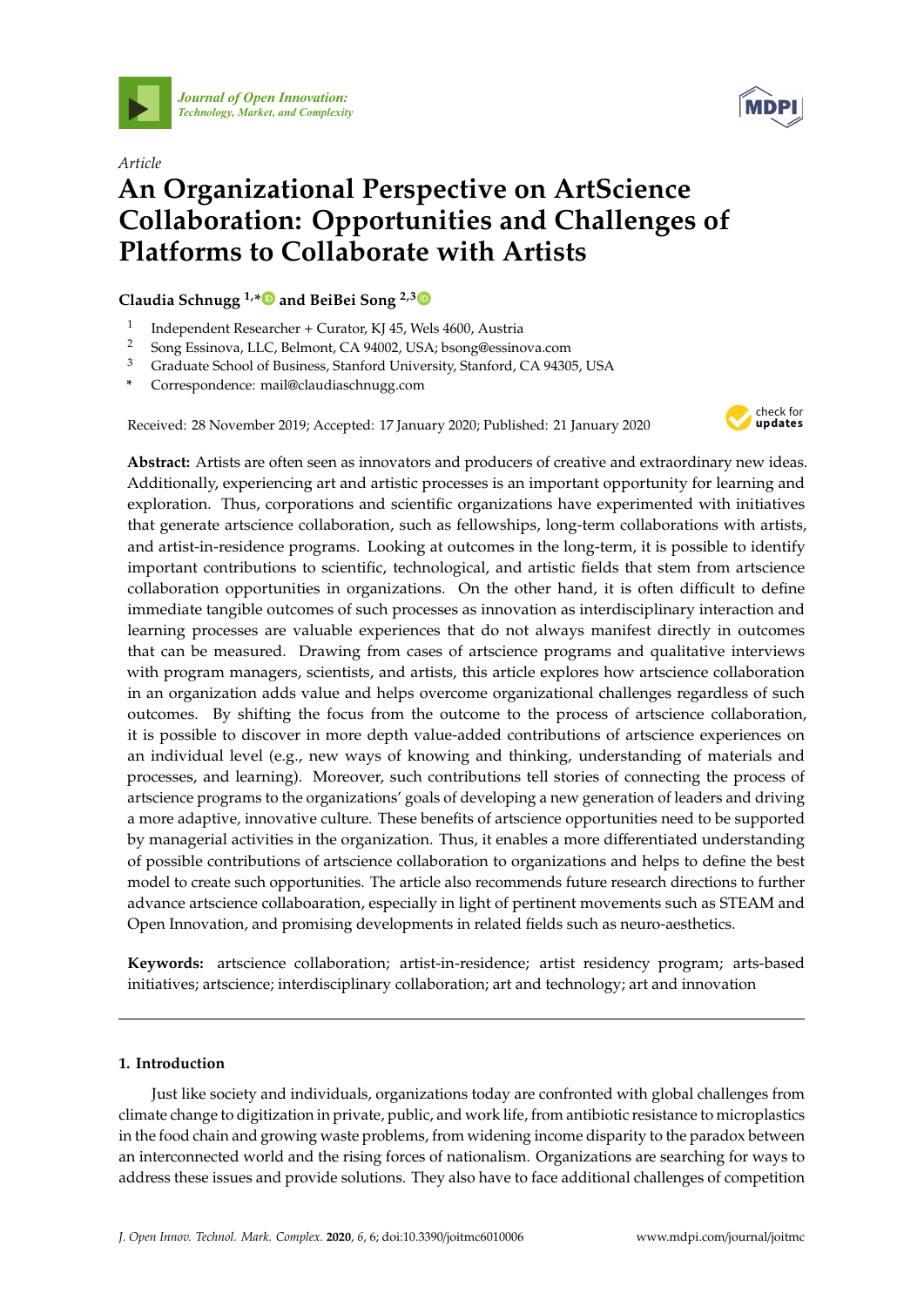



# *Article* **An Organizational Perspective on ArtScience Collaboration: Opportunities and Challenges of Platforms to Collaborate with Artists**

**Claudia Schnugg 1,[\\*](https://orcid.org/0000-0002-6800-8346) and BeiBei Song 2,[3](https://orcid.org/0000-0001-7807-2002)**

- 1 Independent Researcher + Curator, KJ 45, Wels 4600, Austria
- <sup>2</sup> Song Essinova, LLC, Belmont, CA 94002, USA; bsong@essinova.com
- <sup>3</sup> Graduate School of Business, Stanford University, Stanford, CA 94305, USA
- **\*** Correspondence: mail@claudiaschnugg.com

Received: 28 November 2019; Accepted: 17 January 2020; Published: 21 January 2020



**Abstract:** Artists are often seen as innovators and producers of creative and extraordinary new ideas. Additionally, experiencing art and artistic processes is an important opportunity for learning and exploration. Thus, corporations and scientific organizations have experimented with initiatives that generate artscience collaboration, such as fellowships, long-term collaborations with artists, and artist-in-residence programs. Looking at outcomes in the long-term, it is possible to identify important contributions to scientific, technological, and artistic fields that stem from artscience collaboration opportunities in organizations. On the other hand, it is often difficult to define immediate tangible outcomes of such processes as innovation as interdisciplinary interaction and learning processes are valuable experiences that do not always manifest directly in outcomes that can be measured. Drawing from cases of artscience programs and qualitative interviews with program managers, scientists, and artists, this article explores how artscience collaboration in an organization adds value and helps overcome organizational challenges regardless of such outcomes. By shifting the focus from the outcome to the process of artscience collaboration, it is possible to discover in more depth value-added contributions of artscience experiences on an individual level (e.g., new ways of knowing and thinking, understanding of materials and processes, and learning). Moreover, such contributions tell stories of connecting the process of artscience programs to the organizations' goals of developing a new generation of leaders and driving a more adaptive, innovative culture. These benefits of artscience opportunities need to be supported by managerial activities in the organization. Thus, it enables a more differentiated understanding of possible contributions of artscience collaboration to organizations and helps to define the best model to create such opportunities. The article also recommends future research directions to further advance artscience collaboaration, especially in light of pertinent movements such as STEAM and Open Innovation, and promising developments in related fields such as neuro-aesthetics.

**Keywords:** artscience collaboration; artist-in-residence; artist residency program; arts-based initiatives; artscience; interdisciplinary collaboration; art and technology; art and innovation

# **1. Introduction**

Just like society and individuals, organizations today are confronted with global challenges from climate change to digitization in private, public, and work life, from antibiotic resistance to microplastics in the food chain and growing waste problems, from widening income disparity to the paradox between an interconnected world and the rising forces of nationalism. Organizations are searching for ways to address these issues and provide solutions. They also have to face additional challenges of competition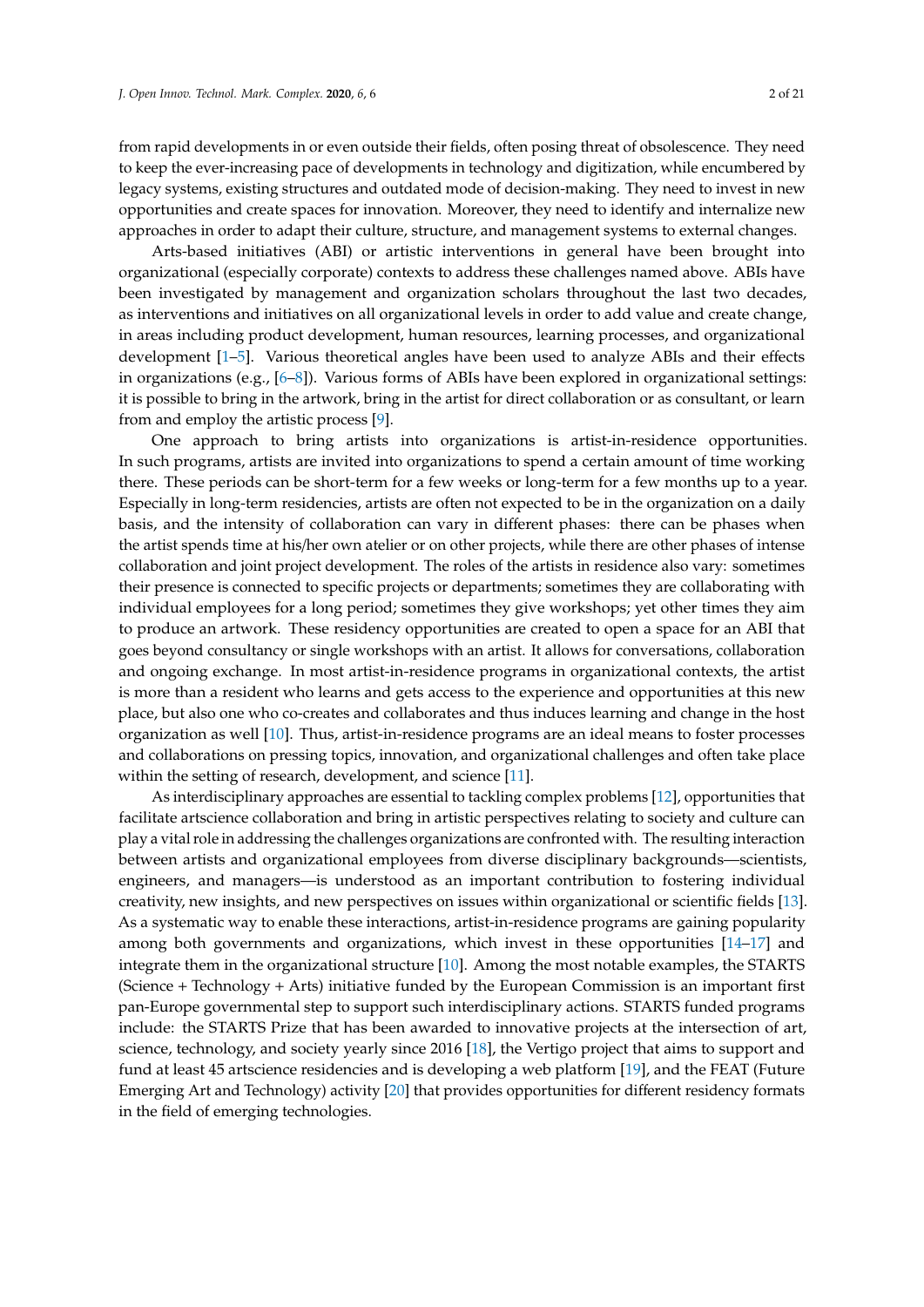from rapid developments in or even outside their fields, often posing threat of obsolescence. They need to keep the ever-increasing pace of developments in technology and digitization, while encumbered by legacy systems, existing structures and outdated mode of decision-making. They need to invest in new opportunities and create spaces for innovation. Moreover, they need to identify and internalize new approaches in order to adapt their culture, structure, and management systems to external changes.

Arts-based initiatives (ABI) or artistic interventions in general have been brought into organizational (especially corporate) contexts to address these challenges named above. ABIs have been investigated by management and organization scholars throughout the last two decades, as interventions and initiatives on all organizational levels in order to add value and create change, in areas including product development, human resources, learning processes, and organizational development [\[1](#page-16-0)[–5\]](#page-16-1). Various theoretical angles have been used to analyze ABIs and their effects in organizations (e.g., [\[6](#page-16-2)[–8\]](#page-16-3)). Various forms of ABIs have been explored in organizational settings: it is possible to bring in the artwork, bring in the artist for direct collaboration or as consultant, or learn from and employ the artistic process [\[9\]](#page-16-4).

One approach to bring artists into organizations is artist-in-residence opportunities. In such programs, artists are invited into organizations to spend a certain amount of time working there. These periods can be short-term for a few weeks or long-term for a few months up to a year. Especially in long-term residencies, artists are often not expected to be in the organization on a daily basis, and the intensity of collaboration can vary in different phases: there can be phases when the artist spends time at his/her own atelier or on other projects, while there are other phases of intense collaboration and joint project development. The roles of the artists in residence also vary: sometimes their presence is connected to specific projects or departments; sometimes they are collaborating with individual employees for a long period; sometimes they give workshops; yet other times they aim to produce an artwork. These residency opportunities are created to open a space for an ABI that goes beyond consultancy or single workshops with an artist. It allows for conversations, collaboration and ongoing exchange. In most artist-in-residence programs in organizational contexts, the artist is more than a resident who learns and gets access to the experience and opportunities at this new place, but also one who co-creates and collaborates and thus induces learning and change in the host organization as well [\[10\]](#page-16-5). Thus, artist-in-residence programs are an ideal means to foster processes and collaborations on pressing topics, innovation, and organizational challenges and often take place within the setting of research, development, and science [\[11\]](#page-16-6).

As interdisciplinary approaches are essential to tackling complex problems [\[12\]](#page-16-7), opportunities that facilitate artscience collaboration and bring in artistic perspectives relating to society and culture can play a vital role in addressing the challenges organizations are confronted with. The resulting interaction between artists and organizational employees from diverse disciplinary backgrounds—scientists, engineers, and managers—is understood as an important contribution to fostering individual creativity, new insights, and new perspectives on issues within organizational or scientific fields [\[13\]](#page-16-8). As a systematic way to enable these interactions, artist-in-residence programs are gaining popularity among both governments and organizations, which invest in these opportunities [\[14](#page-16-9)[–17\]](#page-16-10) and integrate them in the organizational structure [\[10\]](#page-16-5). Among the most notable examples, the STARTS (Science + Technology + Arts) initiative funded by the European Commission is an important first pan-Europe governmental step to support such interdisciplinary actions. STARTS funded programs include: the STARTS Prize that has been awarded to innovative projects at the intersection of art, science, technology, and society yearly since 2016 [\[18\]](#page-16-11), the Vertigo project that aims to support and fund at least 45 artscience residencies and is developing a web platform [\[19\]](#page-16-12), and the FEAT (Future Emerging Art and Technology) activity [\[20\]](#page-16-13) that provides opportunities for different residency formats in the field of emerging technologies.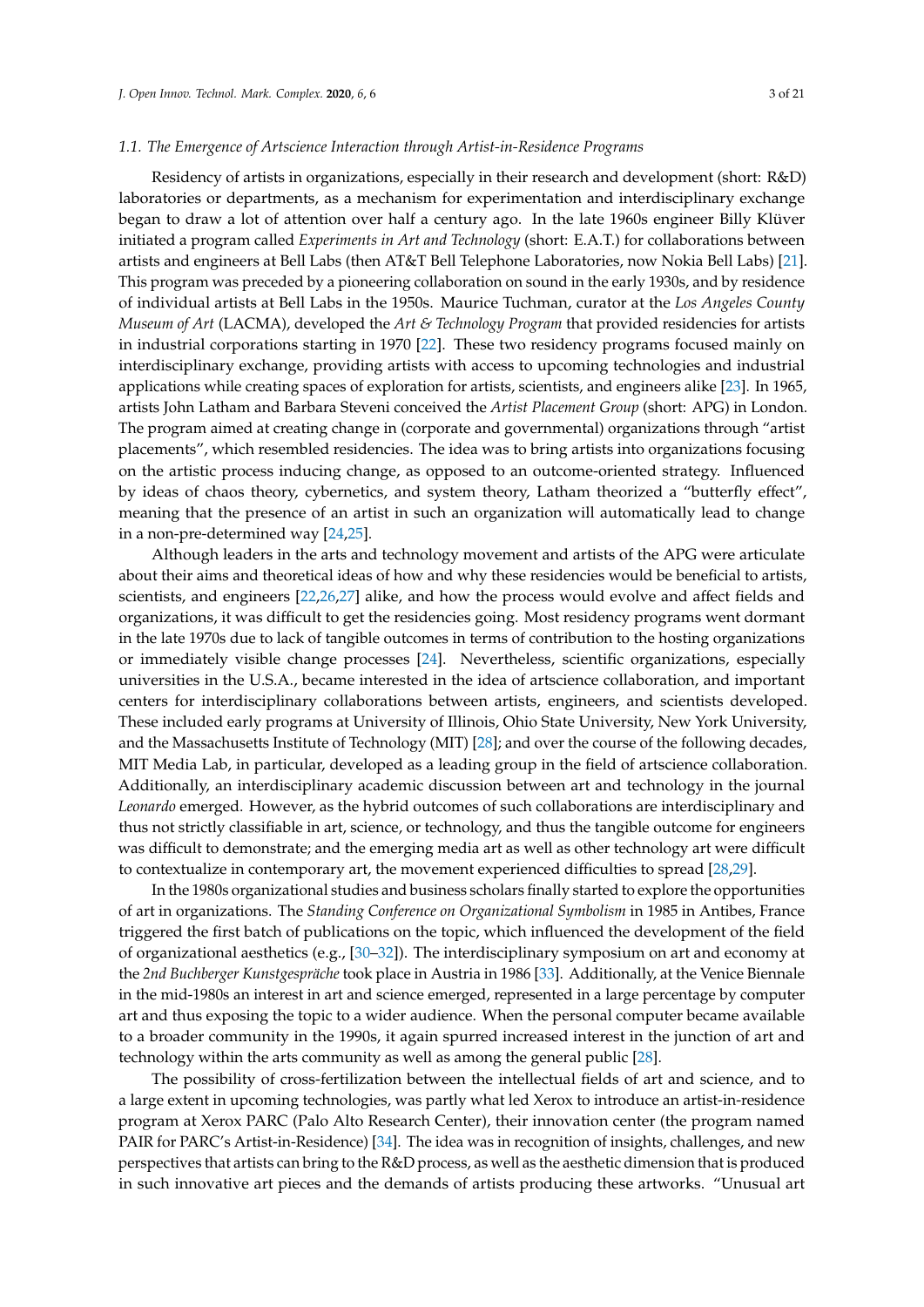## *1.1. The Emergence of Artscience Interaction through Artist-in-Residence Programs*

Residency of artists in organizations, especially in their research and development (short: R&D) laboratories or departments, as a mechanism for experimentation and interdisciplinary exchange began to draw a lot of attention over half a century ago. In the late 1960s engineer Billy Klüver initiated a program called *Experiments in Art and Technology* (short: E.A.T.) for collaborations between artists and engineers at Bell Labs (then AT&T Bell Telephone Laboratories, now Nokia Bell Labs) [\[21\]](#page-16-14). This program was preceded by a pioneering collaboration on sound in the early 1930s, and by residence of individual artists at Bell Labs in the 1950s. Maurice Tuchman, curator at the *Los Angeles County Museum of Art* (LACMA), developed the *Art & Technology Program* that provided residencies for artists in industrial corporations starting in 1970 [\[22\]](#page-16-15). These two residency programs focused mainly on interdisciplinary exchange, providing artists with access to upcoming technologies and industrial applications while creating spaces of exploration for artists, scientists, and engineers alike [\[23\]](#page-16-16). In 1965, artists John Latham and Barbara Steveni conceived the *Artist Placement Group* (short: APG) in London. The program aimed at creating change in (corporate and governmental) organizations through "artist placements", which resembled residencies. The idea was to bring artists into organizations focusing on the artistic process inducing change, as opposed to an outcome-oriented strategy. Influenced by ideas of chaos theory, cybernetics, and system theory, Latham theorized a "butterfly effect", meaning that the presence of an artist in such an organization will automatically lead to change in a non-pre-determined way [\[24,](#page-17-0)[25\]](#page-17-1).

Although leaders in the arts and technology movement and artists of the APG were articulate about their aims and theoretical ideas of how and why these residencies would be beneficial to artists, scientists, and engineers [\[22,](#page-16-15)[26,](#page-17-2)[27\]](#page-17-3) alike, and how the process would evolve and affect fields and organizations, it was difficult to get the residencies going. Most residency programs went dormant in the late 1970s due to lack of tangible outcomes in terms of contribution to the hosting organizations or immediately visible change processes [\[24\]](#page-17-0). Nevertheless, scientific organizations, especially universities in the U.S.A., became interested in the idea of artscience collaboration, and important centers for interdisciplinary collaborations between artists, engineers, and scientists developed. These included early programs at University of Illinois, Ohio State University, New York University, and the Massachusetts Institute of Technology (MIT) [\[28\]](#page-17-4); and over the course of the following decades, MIT Media Lab, in particular, developed as a leading group in the field of artscience collaboration. Additionally, an interdisciplinary academic discussion between art and technology in the journal *Leonardo* emerged. However, as the hybrid outcomes of such collaborations are interdisciplinary and thus not strictly classifiable in art, science, or technology, and thus the tangible outcome for engineers was difficult to demonstrate; and the emerging media art as well as other technology art were difficult to contextualize in contemporary art, the movement experienced difficulties to spread [\[28,](#page-17-4)[29\]](#page-17-5).

In the 1980s organizational studies and business scholars finally started to explore the opportunities of art in organizations. The *Standing Conference on Organizational Symbolism* in 1985 in Antibes, France triggered the first batch of publications on the topic, which influenced the development of the field of organizational aesthetics (e.g., [\[30–](#page-17-6)[32\]](#page-17-7)). The interdisciplinary symposium on art and economy at the *2nd Buchberger Kunstgespräche* took place in Austria in 1986 [\[33\]](#page-17-8). Additionally, at the Venice Biennale in the mid-1980s an interest in art and science emerged, represented in a large percentage by computer art and thus exposing the topic to a wider audience. When the personal computer became available to a broader community in the 1990s, it again spurred increased interest in the junction of art and technology within the arts community as well as among the general public [\[28\]](#page-17-4).

The possibility of cross-fertilization between the intellectual fields of art and science, and to a large extent in upcoming technologies, was partly what led Xerox to introduce an artist-in-residence program at Xerox PARC (Palo Alto Research Center), their innovation center (the program named PAIR for PARC's Artist-in-Residence) [\[34\]](#page-17-9). The idea was in recognition of insights, challenges, and new perspectives that artists can bring to the R&D process, as well as the aesthetic dimension that is produced in such innovative art pieces and the demands of artists producing these artworks. "Unusual art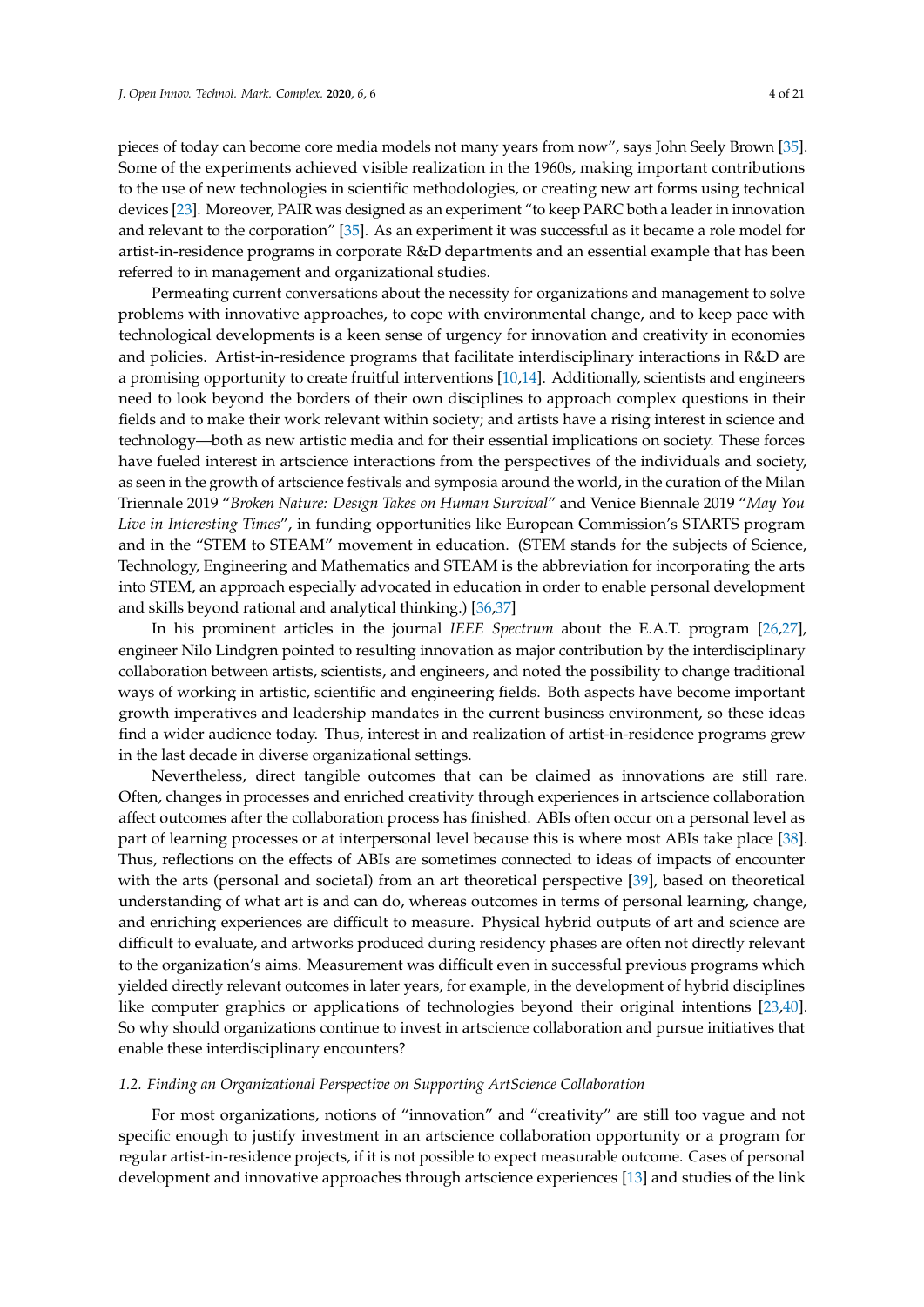pieces of today can become core media models not many years from now", says John Seely Brown [\[35\]](#page-17-10). Some of the experiments achieved visible realization in the 1960s, making important contributions to the use of new technologies in scientific methodologies, or creating new art forms using technical devices [\[23\]](#page-16-16). Moreover, PAIR was designed as an experiment "to keep PARC both a leader in innovation and relevant to the corporation" [\[35\]](#page-17-10). As an experiment it was successful as it became a role model for artist-in-residence programs in corporate R&D departments and an essential example that has been referred to in management and organizational studies.

Permeating current conversations about the necessity for organizations and management to solve problems with innovative approaches, to cope with environmental change, and to keep pace with technological developments is a keen sense of urgency for innovation and creativity in economies and policies. Artist-in-residence programs that facilitate interdisciplinary interactions in R&D are a promising opportunity to create fruitful interventions [\[10,](#page-16-5)[14\]](#page-16-9). Additionally, scientists and engineers need to look beyond the borders of their own disciplines to approach complex questions in their fields and to make their work relevant within society; and artists have a rising interest in science and technology—both as new artistic media and for their essential implications on society. These forces have fueled interest in artscience interactions from the perspectives of the individuals and society, as seen in the growth of artscience festivals and symposia around the world, in the curation of the Milan Triennale 2019 "*Broken Nature: Design Takes on Human Survival*" and Venice Biennale 2019 "*May You Live in Interesting Times*", in funding opportunities like European Commission's STARTS program and in the "STEM to STEAM" movement in education. (STEM stands for the subjects of Science, Technology, Engineering and Mathematics and STEAM is the abbreviation for incorporating the arts into STEM, an approach especially advocated in education in order to enable personal development and skills beyond rational and analytical thinking.) [\[36](#page-17-11)[,37\]](#page-17-12)

In his prominent articles in the journal *IEEE Spectrum* about the E.A.T. program [\[26,](#page-17-2)[27\]](#page-17-3), engineer Nilo Lindgren pointed to resulting innovation as major contribution by the interdisciplinary collaboration between artists, scientists, and engineers, and noted the possibility to change traditional ways of working in artistic, scientific and engineering fields. Both aspects have become important growth imperatives and leadership mandates in the current business environment, so these ideas find a wider audience today. Thus, interest in and realization of artist-in-residence programs grew in the last decade in diverse organizational settings.

Nevertheless, direct tangible outcomes that can be claimed as innovations are still rare. Often, changes in processes and enriched creativity through experiences in artscience collaboration affect outcomes after the collaboration process has finished. ABIs often occur on a personal level as part of learning processes or at interpersonal level because this is where most ABIs take place [\[38\]](#page-17-13). Thus, reflections on the effects of ABIs are sometimes connected to ideas of impacts of encounter with the arts (personal and societal) from an art theoretical perspective [\[39\]](#page-17-14), based on theoretical understanding of what art is and can do, whereas outcomes in terms of personal learning, change, and enriching experiences are difficult to measure. Physical hybrid outputs of art and science are difficult to evaluate, and artworks produced during residency phases are often not directly relevant to the organization's aims. Measurement was difficult even in successful previous programs which yielded directly relevant outcomes in later years, for example, in the development of hybrid disciplines like computer graphics or applications of technologies beyond their original intentions [\[23,](#page-16-16)[40\]](#page-17-15). So why should organizations continue to invest in artscience collaboration and pursue initiatives that enable these interdisciplinary encounters?

## *1.2. Finding an Organizational Perspective on Supporting ArtScience Collaboration*

For most organizations, notions of "innovation" and "creativity" are still too vague and not specific enough to justify investment in an artscience collaboration opportunity or a program for regular artist-in-residence projects, if it is not possible to expect measurable outcome. Cases of personal development and innovative approaches through artscience experiences [\[13\]](#page-16-8) and studies of the link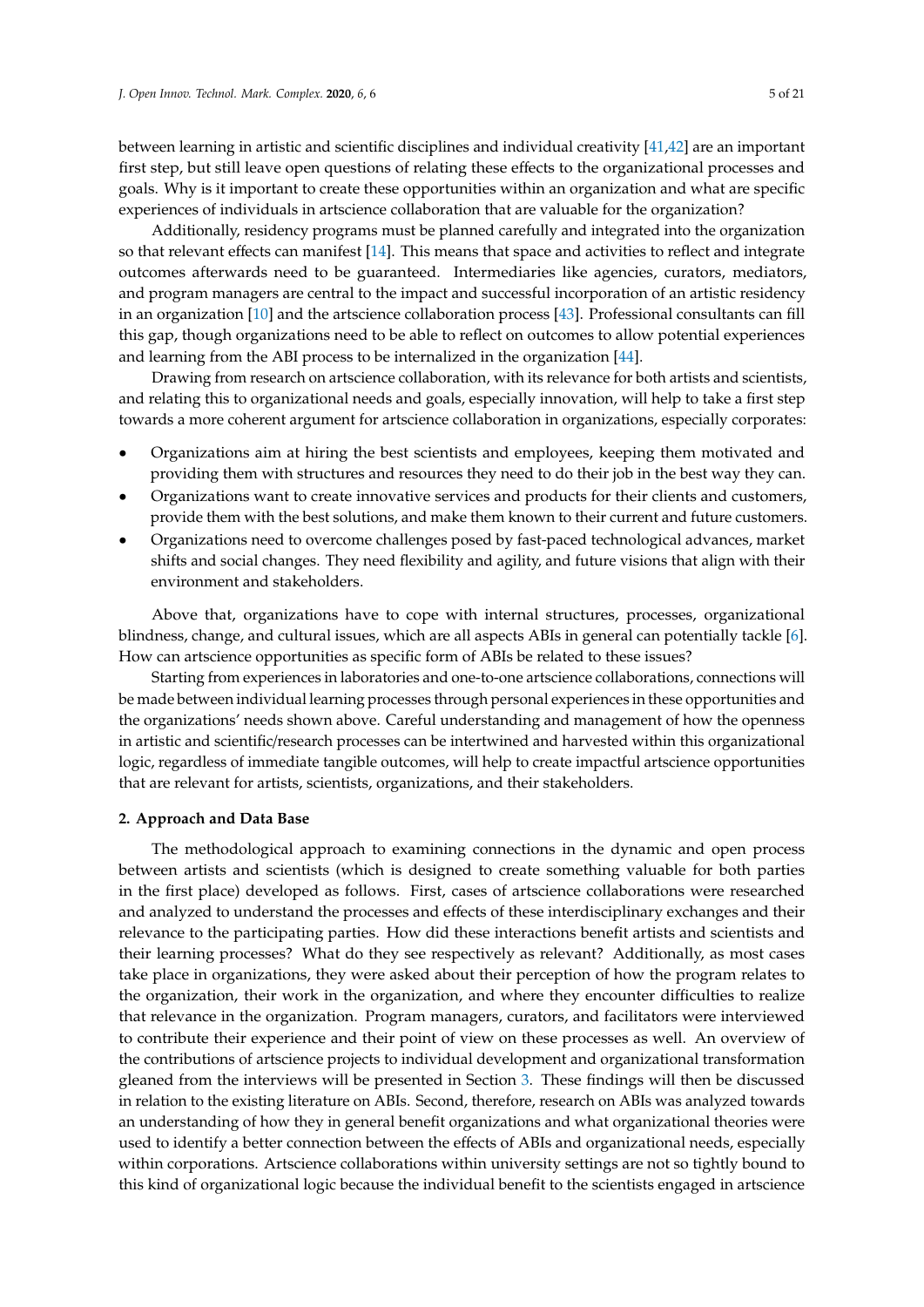between learning in artistic and scientific disciplines and individual creativity [\[41,](#page-17-16)[42\]](#page-17-17) are an important first step, but still leave open questions of relating these effects to the organizational processes and goals. Why is it important to create these opportunities within an organization and what are specific experiences of individuals in artscience collaboration that are valuable for the organization?

Additionally, residency programs must be planned carefully and integrated into the organization so that relevant effects can manifest [\[14\]](#page-16-9). This means that space and activities to reflect and integrate outcomes afterwards need to be guaranteed. Intermediaries like agencies, curators, mediators, and program managers are central to the impact and successful incorporation of an artistic residency in an organization [\[10\]](#page-16-5) and the artscience collaboration process [\[43\]](#page-17-18). Professional consultants can fill this gap, though organizations need to be able to reflect on outcomes to allow potential experiences and learning from the ABI process to be internalized in the organization [\[44\]](#page-17-19).

Drawing from research on artscience collaboration, with its relevance for both artists and scientists, and relating this to organizational needs and goals, especially innovation, will help to take a first step towards a more coherent argument for artscience collaboration in organizations, especially corporates:

- Organizations aim at hiring the best scientists and employees, keeping them motivated and providing them with structures and resources they need to do their job in the best way they can.
- Organizations want to create innovative services and products for their clients and customers, provide them with the best solutions, and make them known to their current and future customers.
- Organizations need to overcome challenges posed by fast-paced technological advances, market shifts and social changes. They need flexibility and agility, and future visions that align with their environment and stakeholders.

Above that, organizations have to cope with internal structures, processes, organizational blindness, change, and cultural issues, which are all aspects ABIs in general can potentially tackle [\[6\]](#page-16-2). How can artscience opportunities as specific form of ABIs be related to these issues?

Starting from experiences in laboratories and one-to-one artscience collaborations, connections will be made between individual learning processes through personal experiences in these opportunities and the organizations' needs shown above. Careful understanding and management of how the openness in artistic and scientific/research processes can be intertwined and harvested within this organizational logic, regardless of immediate tangible outcomes, will help to create impactful artscience opportunities that are relevant for artists, scientists, organizations, and their stakeholders.

#### **2. Approach and Data Base**

The methodological approach to examining connections in the dynamic and open process between artists and scientists (which is designed to create something valuable for both parties in the first place) developed as follows. First, cases of artscience collaborations were researched and analyzed to understand the processes and effects of these interdisciplinary exchanges and their relevance to the participating parties. How did these interactions benefit artists and scientists and their learning processes? What do they see respectively as relevant? Additionally, as most cases take place in organizations, they were asked about their perception of how the program relates to the organization, their work in the organization, and where they encounter difficulties to realize that relevance in the organization. Program managers, curators, and facilitators were interviewed to contribute their experience and their point of view on these processes as well. An overview of the contributions of artscience projects to individual development and organizational transformation gleaned from the interviews will be presented in Section [3.](#page-5-0) These findings will then be discussed in relation to the existing literature on ABIs. Second, therefore, research on ABIs was analyzed towards an understanding of how they in general benefit organizations and what organizational theories were used to identify a better connection between the effects of ABIs and organizational needs, especially within corporations. Artscience collaborations within university settings are not so tightly bound to this kind of organizational logic because the individual benefit to the scientists engaged in artscience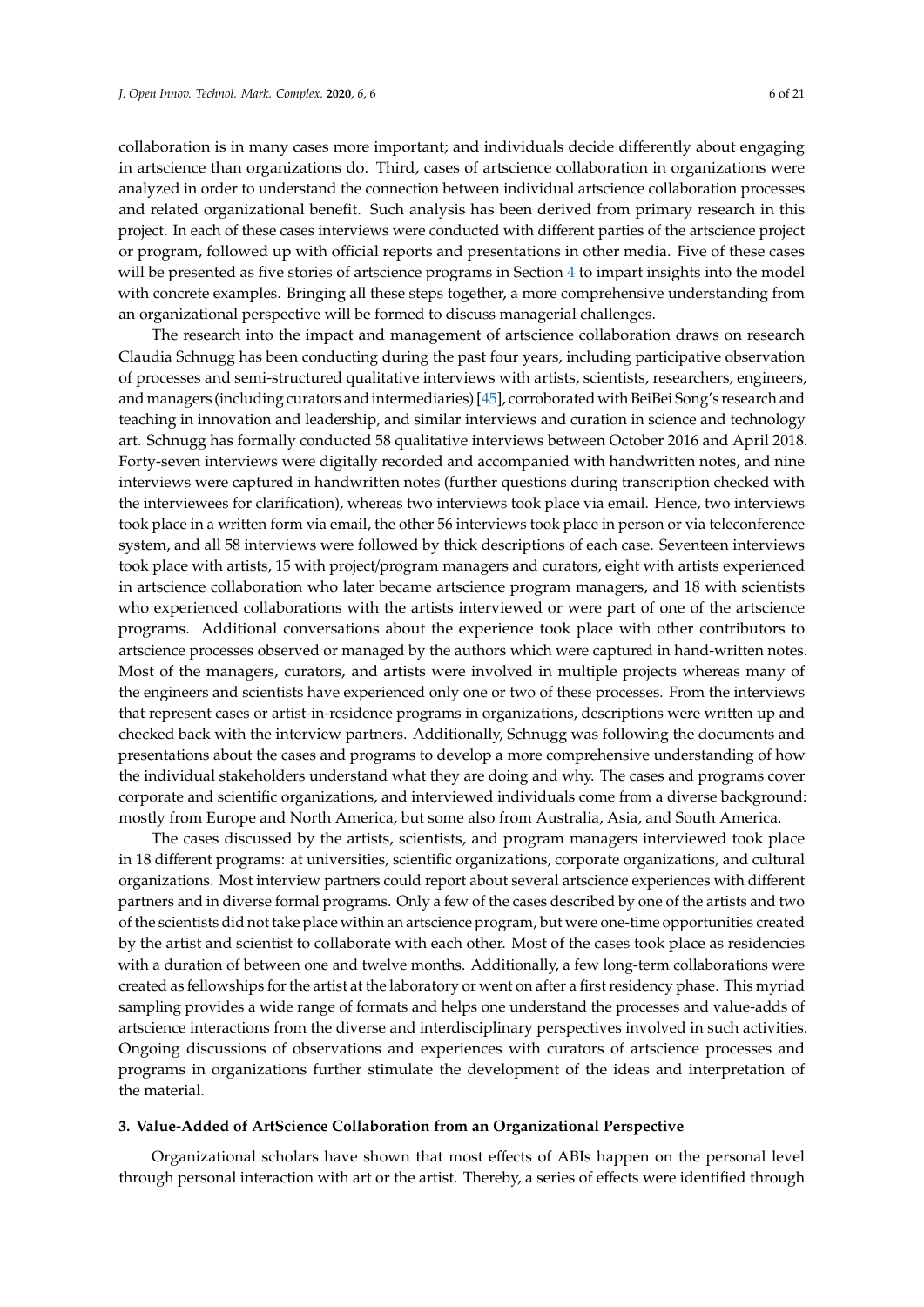collaboration is in many cases more important; and individuals decide differently about engaging in artscience than organizations do. Third, cases of artscience collaboration in organizations were analyzed in order to understand the connection between individual artscience collaboration processes and related organizational benefit. Such analysis has been derived from primary research in this project. In each of these cases interviews were conducted with different parties of the artscience project or program, followed up with official reports and presentations in other media. Five of these cases will be presented as five stories of artscience programs in Section [4](#page-8-0) to impart insights into the model with concrete examples. Bringing all these steps together, a more comprehensive understanding from an organizational perspective will be formed to discuss managerial challenges.

The research into the impact and management of artscience collaboration draws on research Claudia Schnugg has been conducting during the past four years, including participative observation of processes and semi-structured qualitative interviews with artists, scientists, researchers, engineers, and managers (including curators and intermediaries) [\[45\]](#page-17-20), corroborated with BeiBei Song's research and teaching in innovation and leadership, and similar interviews and curation in science and technology art. Schnugg has formally conducted 58 qualitative interviews between October 2016 and April 2018. Forty-seven interviews were digitally recorded and accompanied with handwritten notes, and nine interviews were captured in handwritten notes (further questions during transcription checked with the interviewees for clarification), whereas two interviews took place via email. Hence, two interviews took place in a written form via email, the other 56 interviews took place in person or via teleconference system, and all 58 interviews were followed by thick descriptions of each case. Seventeen interviews took place with artists, 15 with project/program managers and curators, eight with artists experienced in artscience collaboration who later became artscience program managers, and 18 with scientists who experienced collaborations with the artists interviewed or were part of one of the artscience programs. Additional conversations about the experience took place with other contributors to artscience processes observed or managed by the authors which were captured in hand-written notes. Most of the managers, curators, and artists were involved in multiple projects whereas many of the engineers and scientists have experienced only one or two of these processes. From the interviews that represent cases or artist-in-residence programs in organizations, descriptions were written up and checked back with the interview partners. Additionally, Schnugg was following the documents and presentations about the cases and programs to develop a more comprehensive understanding of how the individual stakeholders understand what they are doing and why. The cases and programs cover corporate and scientific organizations, and interviewed individuals come from a diverse background: mostly from Europe and North America, but some also from Australia, Asia, and South America.

The cases discussed by the artists, scientists, and program managers interviewed took place in 18 different programs: at universities, scientific organizations, corporate organizations, and cultural organizations. Most interview partners could report about several artscience experiences with different partners and in diverse formal programs. Only a few of the cases described by one of the artists and two of the scientists did not take place within an artscience program, but were one-time opportunities created by the artist and scientist to collaborate with each other. Most of the cases took place as residencies with a duration of between one and twelve months. Additionally, a few long-term collaborations were created as fellowships for the artist at the laboratory or went on after a first residency phase. This myriad sampling provides a wide range of formats and helps one understand the processes and value-adds of artscience interactions from the diverse and interdisciplinary perspectives involved in such activities. Ongoing discussions of observations and experiences with curators of artscience processes and programs in organizations further stimulate the development of the ideas and interpretation of the material.

# <span id="page-5-0"></span>**3. Value-Added of ArtScience Collaboration from an Organizational Perspective**

Organizational scholars have shown that most effects of ABIs happen on the personal level through personal interaction with art or the artist. Thereby, a series of effects were identified through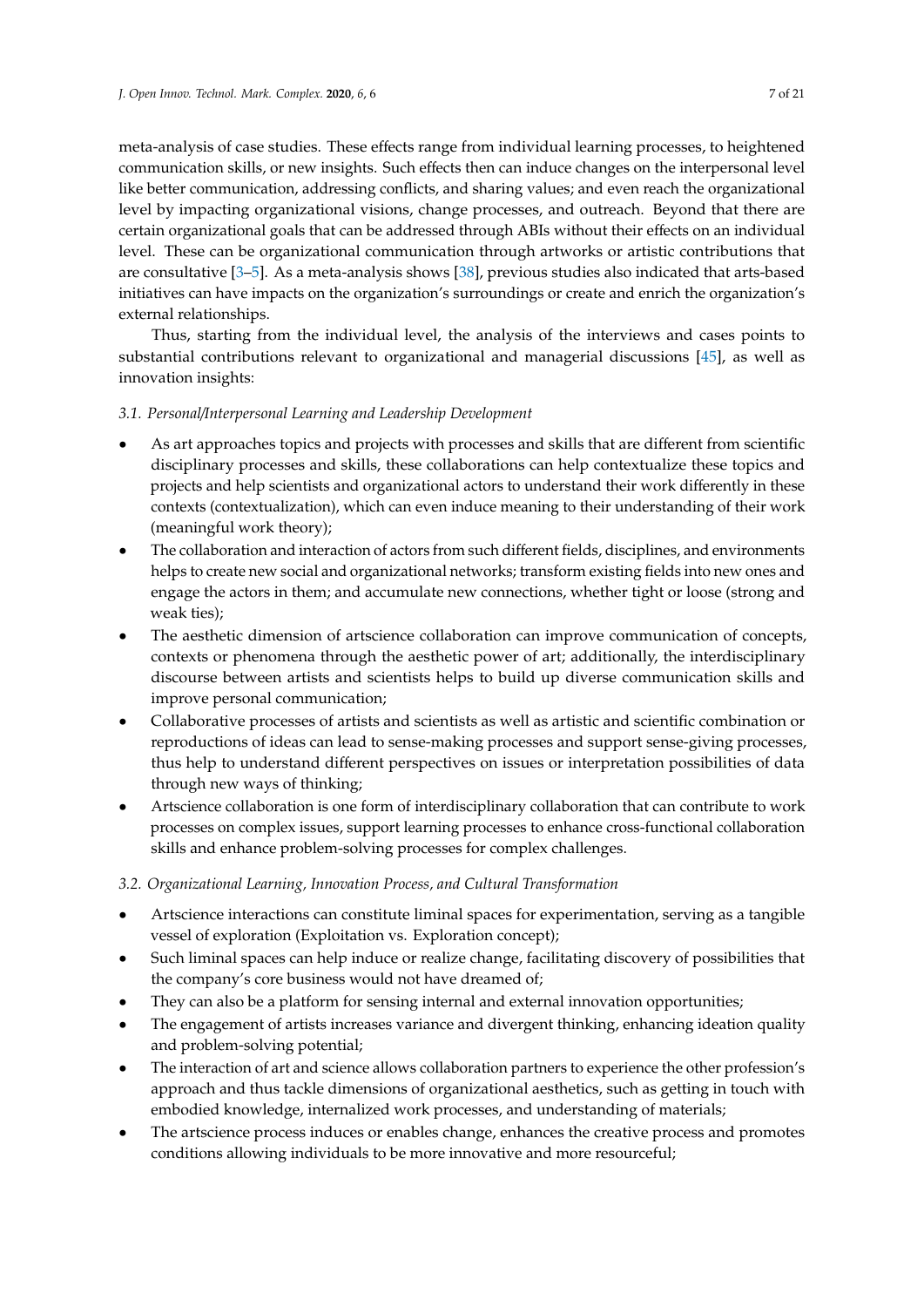meta-analysis of case studies. These effects range from individual learning processes, to heightened communication skills, or new insights. Such effects then can induce changes on the interpersonal level like better communication, addressing conflicts, and sharing values; and even reach the organizational level by impacting organizational visions, change processes, and outreach. Beyond that there are certain organizational goals that can be addressed through ABIs without their effects on an individual level. These can be organizational communication through artworks or artistic contributions that are consultative [\[3](#page-16-17)[–5\]](#page-16-1). As a meta-analysis shows [\[38\]](#page-17-13), previous studies also indicated that arts-based initiatives can have impacts on the organization's surroundings or create and enrich the organization's external relationships.

Thus, starting from the individual level, the analysis of the interviews and cases points to substantial contributions relevant to organizational and managerial discussions [\[45\]](#page-17-20), as well as innovation insights:

# *3.1. Personal*/*Interpersonal Learning and Leadership Development*

- As art approaches topics and projects with processes and skills that are different from scientific disciplinary processes and skills, these collaborations can help contextualize these topics and projects and help scientists and organizational actors to understand their work differently in these contexts (contextualization), which can even induce meaning to their understanding of their work (meaningful work theory);
- The collaboration and interaction of actors from such different fields, disciplines, and environments helps to create new social and organizational networks; transform existing fields into new ones and engage the actors in them; and accumulate new connections, whether tight or loose (strong and weak ties);
- The aesthetic dimension of artscience collaboration can improve communication of concepts, contexts or phenomena through the aesthetic power of art; additionally, the interdisciplinary discourse between artists and scientists helps to build up diverse communication skills and improve personal communication;
- Collaborative processes of artists and scientists as well as artistic and scientific combination or reproductions of ideas can lead to sense-making processes and support sense-giving processes, thus help to understand different perspectives on issues or interpretation possibilities of data through new ways of thinking;
- Artscience collaboration is one form of interdisciplinary collaboration that can contribute to work processes on complex issues, support learning processes to enhance cross-functional collaboration skills and enhance problem-solving processes for complex challenges.

# *3.2. Organizational Learning, Innovation Process, and Cultural Transformation*

- Artscience interactions can constitute liminal spaces for experimentation, serving as a tangible vessel of exploration (Exploitation vs. Exploration concept);
- Such liminal spaces can help induce or realize change, facilitating discovery of possibilities that the company's core business would not have dreamed of;
- They can also be a platform for sensing internal and external innovation opportunities;
- The engagement of artists increases variance and divergent thinking, enhancing ideation quality and problem-solving potential;
- The interaction of art and science allows collaboration partners to experience the other profession's approach and thus tackle dimensions of organizational aesthetics, such as getting in touch with embodied knowledge, internalized work processes, and understanding of materials;
- The artscience process induces or enables change, enhances the creative process and promotes conditions allowing individuals to be more innovative and more resourceful;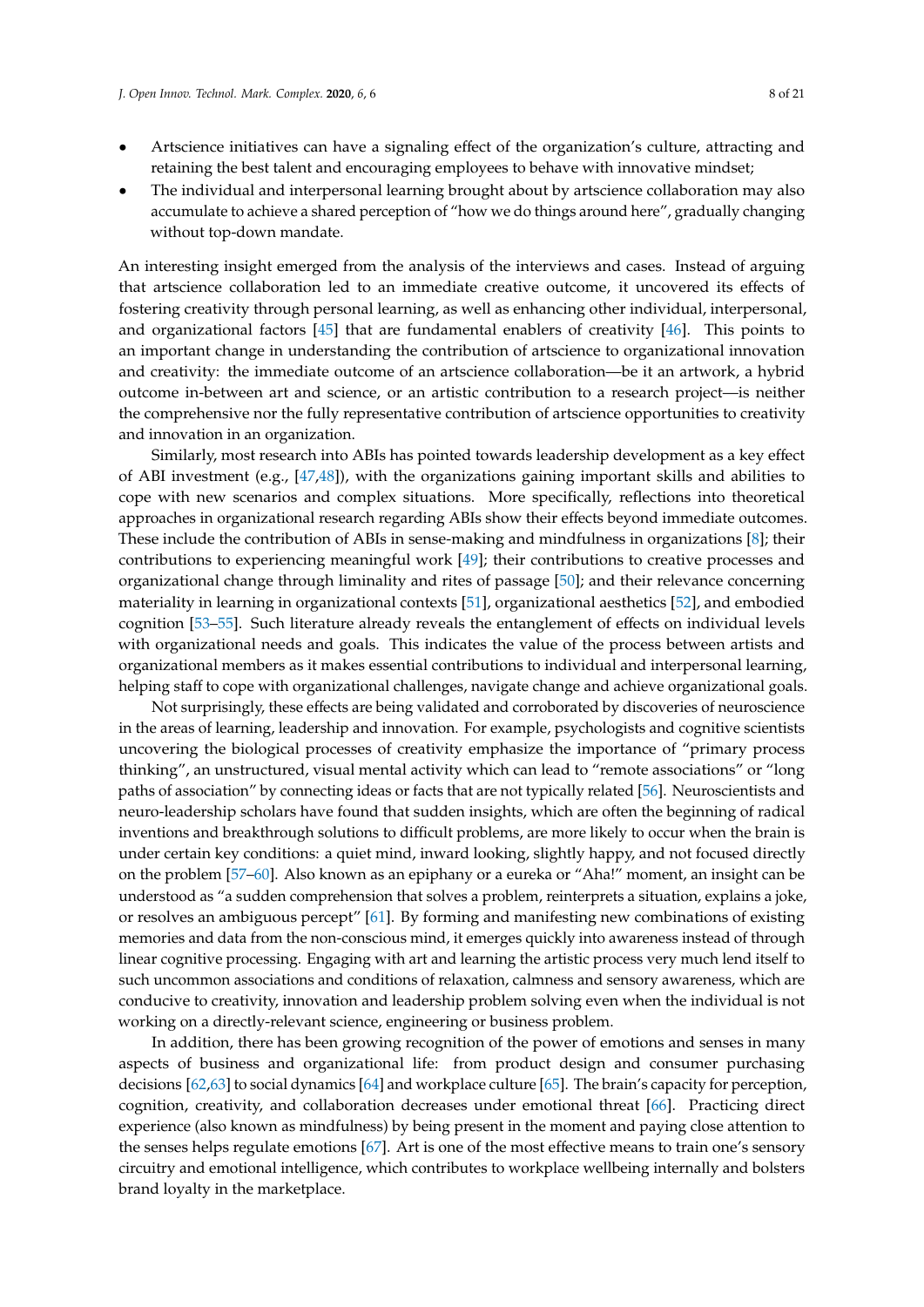- Artscience initiatives can have a signaling effect of the organization's culture, attracting and retaining the best talent and encouraging employees to behave with innovative mindset;
- The individual and interpersonal learning brought about by artscience collaboration may also accumulate to achieve a shared perception of "how we do things around here", gradually changing without top-down mandate.

An interesting insight emerged from the analysis of the interviews and cases. Instead of arguing that artscience collaboration led to an immediate creative outcome, it uncovered its effects of fostering creativity through personal learning, as well as enhancing other individual, interpersonal, and organizational factors [\[45\]](#page-17-20) that are fundamental enablers of creativity [\[46\]](#page-17-21). This points to an important change in understanding the contribution of artscience to organizational innovation and creativity: the immediate outcome of an artscience collaboration—be it an artwork, a hybrid outcome in-between art and science, or an artistic contribution to a research project—is neither the comprehensive nor the fully representative contribution of artscience opportunities to creativity and innovation in an organization.

Similarly, most research into ABIs has pointed towards leadership development as a key effect of ABI investment (e.g., [\[47,](#page-17-22)[48\]](#page-17-23)), with the organizations gaining important skills and abilities to cope with new scenarios and complex situations. More specifically, reflections into theoretical approaches in organizational research regarding ABIs show their effects beyond immediate outcomes. These include the contribution of ABIs in sense-making and mindfulness in organizations [\[8\]](#page-16-3); their contributions to experiencing meaningful work [\[49\]](#page-17-24); their contributions to creative processes and organizational change through liminality and rites of passage [\[50\]](#page-17-25); and their relevance concerning materiality in learning in organizational contexts [\[51\]](#page-18-0), organizational aesthetics [\[52\]](#page-18-1), and embodied cognition [\[53](#page-18-2)[–55\]](#page-18-3). Such literature already reveals the entanglement of effects on individual levels with organizational needs and goals. This indicates the value of the process between artists and organizational members as it makes essential contributions to individual and interpersonal learning, helping staff to cope with organizational challenges, navigate change and achieve organizational goals.

Not surprisingly, these effects are being validated and corroborated by discoveries of neuroscience in the areas of learning, leadership and innovation. For example, psychologists and cognitive scientists uncovering the biological processes of creativity emphasize the importance of "primary process thinking", an unstructured, visual mental activity which can lead to "remote associations" or "long paths of association" by connecting ideas or facts that are not typically related [\[56\]](#page-18-4). Neuroscientists and neuro-leadership scholars have found that sudden insights, which are often the beginning of radical inventions and breakthrough solutions to difficult problems, are more likely to occur when the brain is under certain key conditions: a quiet mind, inward looking, slightly happy, and not focused directly on the problem [\[57–](#page-18-5)[60\]](#page-18-6). Also known as an epiphany or a eureka or "Aha!" moment, an insight can be understood as "a sudden comprehension that solves a problem, reinterprets a situation, explains a joke, or resolves an ambiguous percept" [\[61\]](#page-18-7). By forming and manifesting new combinations of existing memories and data from the non-conscious mind, it emerges quickly into awareness instead of through linear cognitive processing. Engaging with art and learning the artistic process very much lend itself to such uncommon associations and conditions of relaxation, calmness and sensory awareness, which are conducive to creativity, innovation and leadership problem solving even when the individual is not working on a directly-relevant science, engineering or business problem.

In addition, there has been growing recognition of the power of emotions and senses in many aspects of business and organizational life: from product design and consumer purchasing decisions [\[62,](#page-18-8)[63\]](#page-18-9) to social dynamics [\[64\]](#page-18-10) and workplace culture [\[65\]](#page-18-11). The brain's capacity for perception, cognition, creativity, and collaboration decreases under emotional threat [\[66\]](#page-18-12). Practicing direct experience (also known as mindfulness) by being present in the moment and paying close attention to the senses helps regulate emotions [\[67\]](#page-18-13). Art is one of the most effective means to train one's sensory circuitry and emotional intelligence, which contributes to workplace wellbeing internally and bolsters brand loyalty in the marketplace.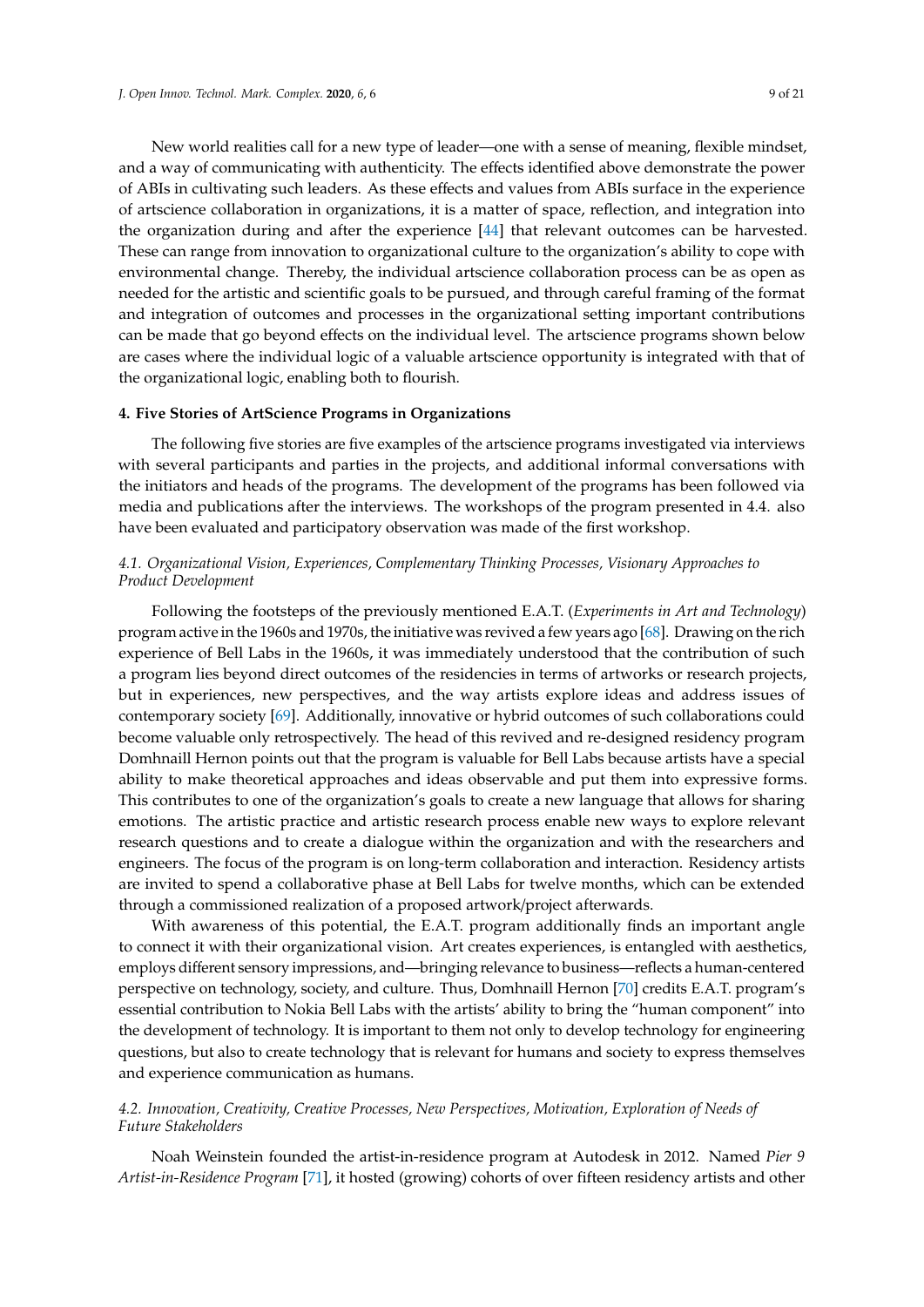New world realities call for a new type of leader—one with a sense of meaning, flexible mindset, and a way of communicating with authenticity. The effects identified above demonstrate the power of ABIs in cultivating such leaders. As these effects and values from ABIs surface in the experience of artscience collaboration in organizations, it is a matter of space, reflection, and integration into the organization during and after the experience [\[44\]](#page-17-19) that relevant outcomes can be harvested. These can range from innovation to organizational culture to the organization's ability to cope with environmental change. Thereby, the individual artscience collaboration process can be as open as needed for the artistic and scientific goals to be pursued, and through careful framing of the format and integration of outcomes and processes in the organizational setting important contributions can be made that go beyond effects on the individual level. The artscience programs shown below are cases where the individual logic of a valuable artscience opportunity is integrated with that of the organizational logic, enabling both to flourish.

# <span id="page-8-0"></span>**4. Five Stories of ArtScience Programs in Organizations**

The following five stories are five examples of the artscience programs investigated via interviews with several participants and parties in the projects, and additional informal conversations with the initiators and heads of the programs. The development of the programs has been followed via media and publications after the interviews. The workshops of the program presented in 4.4. also have been evaluated and participatory observation was made of the first workshop.

# *4.1. Organizational Vision, Experiences, Complementary Thinking Processes, Visionary Approaches to Product Development*

Following the footsteps of the previously mentioned E.A.T. (*Experiments in Art and Technology*) program active in the 1960s and 1970s, the initiative was revived a few years ago [\[68\]](#page-18-14). Drawing on the rich experience of Bell Labs in the 1960s, it was immediately understood that the contribution of such a program lies beyond direct outcomes of the residencies in terms of artworks or research projects, but in experiences, new perspectives, and the way artists explore ideas and address issues of contemporary society [\[69\]](#page-18-15). Additionally, innovative or hybrid outcomes of such collaborations could become valuable only retrospectively. The head of this revived and re-designed residency program Domhnaill Hernon points out that the program is valuable for Bell Labs because artists have a special ability to make theoretical approaches and ideas observable and put them into expressive forms. This contributes to one of the organization's goals to create a new language that allows for sharing emotions. The artistic practice and artistic research process enable new ways to explore relevant research questions and to create a dialogue within the organization and with the researchers and engineers. The focus of the program is on long-term collaboration and interaction. Residency artists are invited to spend a collaborative phase at Bell Labs for twelve months, which can be extended through a commissioned realization of a proposed artwork/project afterwards.

With awareness of this potential, the E.A.T. program additionally finds an important angle to connect it with their organizational vision. Art creates experiences, is entangled with aesthetics, employs different sensory impressions, and—bringing relevance to business—reflects a human-centered perspective on technology, society, and culture. Thus, Domhnaill Hernon [\[70\]](#page-18-16) credits E.A.T. program's essential contribution to Nokia Bell Labs with the artists' ability to bring the "human component" into the development of technology. It is important to them not only to develop technology for engineering questions, but also to create technology that is relevant for humans and society to express themselves and experience communication as humans.

# *4.2. Innovation, Creativity, Creative Processes, New Perspectives, Motivation, Exploration of Needs of Future Stakeholders*

Noah Weinstein founded the artist-in-residence program at Autodesk in 2012. Named *Pier 9 Artist-in-Residence Program* [\[71\]](#page-18-17), it hosted (growing) cohorts of over fifteen residency artists and other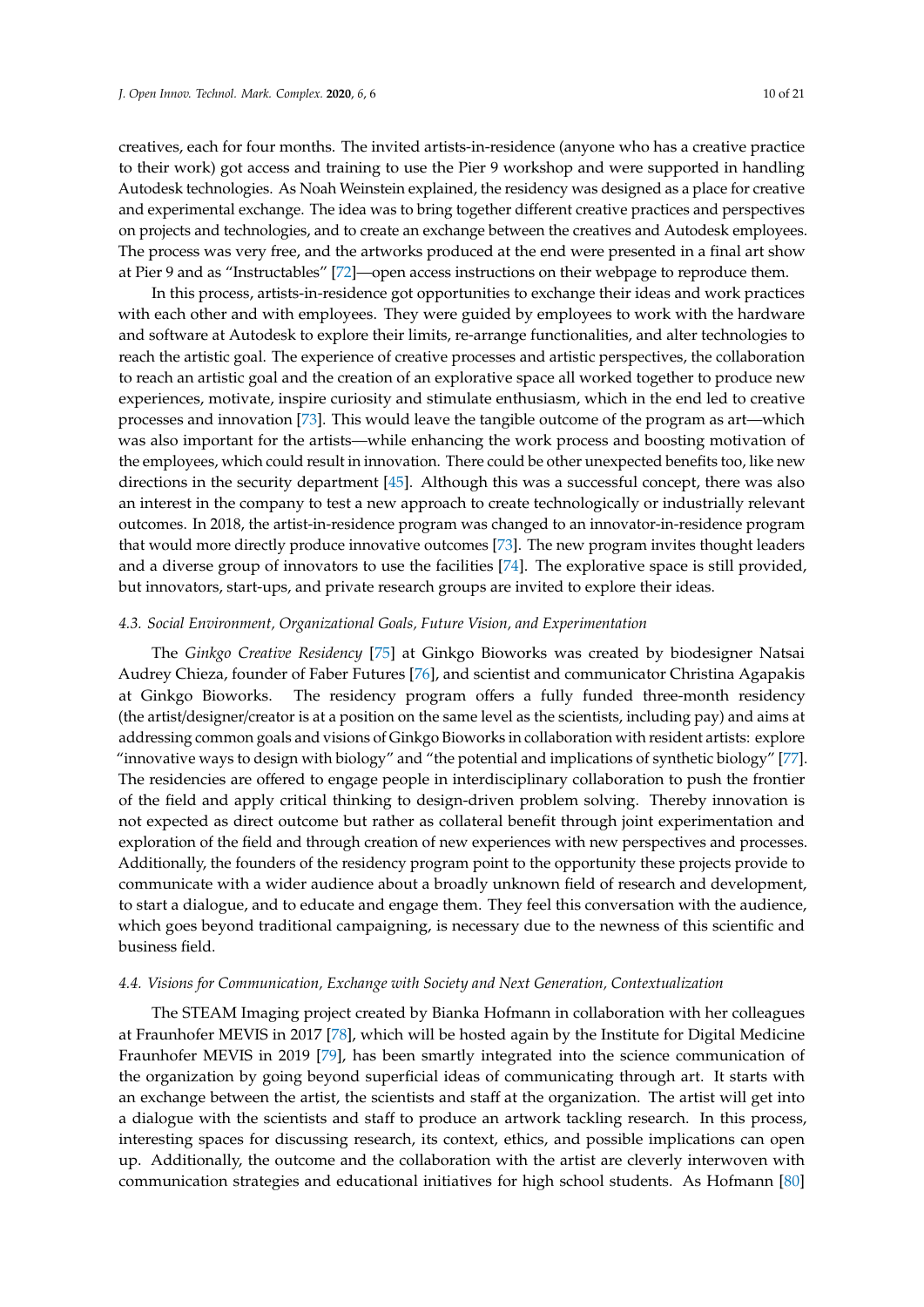creatives, each for four months. The invited artists-in-residence (anyone who has a creative practice to their work) got access and training to use the Pier 9 workshop and were supported in handling Autodesk technologies. As Noah Weinstein explained, the residency was designed as a place for creative and experimental exchange. The idea was to bring together different creative practices and perspectives on projects and technologies, and to create an exchange between the creatives and Autodesk employees. The process was very free, and the artworks produced at the end were presented in a final art show at Pier 9 and as "Instructables" [\[72\]](#page-18-18)—open access instructions on their webpage to reproduce them.

In this process, artists-in-residence got opportunities to exchange their ideas and work practices with each other and with employees. They were guided by employees to work with the hardware and software at Autodesk to explore their limits, re-arrange functionalities, and alter technologies to reach the artistic goal. The experience of creative processes and artistic perspectives, the collaboration to reach an artistic goal and the creation of an explorative space all worked together to produce new experiences, motivate, inspire curiosity and stimulate enthusiasm, which in the end led to creative processes and innovation [\[73\]](#page-18-19). This would leave the tangible outcome of the program as art—which was also important for the artists—while enhancing the work process and boosting motivation of the employees, which could result in innovation. There could be other unexpected benefits too, like new directions in the security department [\[45\]](#page-17-20). Although this was a successful concept, there was also an interest in the company to test a new approach to create technologically or industrially relevant outcomes. In 2018, the artist-in-residence program was changed to an innovator-in-residence program that would more directly produce innovative outcomes [\[73\]](#page-18-19). The new program invites thought leaders and a diverse group of innovators to use the facilities [\[74\]](#page-18-20). The explorative space is still provided, but innovators, start-ups, and private research groups are invited to explore their ideas.

## *4.3. Social Environment, Organizational Goals, Future Vision, and Experimentation*

The *Ginkgo Creative Residency* [\[75\]](#page-18-21) at Ginkgo Bioworks was created by biodesigner Natsai Audrey Chieza, founder of Faber Futures [\[76\]](#page-18-22), and scientist and communicator Christina Agapakis at Ginkgo Bioworks. The residency program offers a fully funded three-month residency (the artist/designer/creator is at a position on the same level as the scientists, including pay) and aims at addressing common goals and visions of Ginkgo Bioworks in collaboration with resident artists: explore "innovative ways to design with biology" and "the potential and implications of synthetic biology" [\[77\]](#page-19-0). The residencies are offered to engage people in interdisciplinary collaboration to push the frontier of the field and apply critical thinking to design-driven problem solving. Thereby innovation is not expected as direct outcome but rather as collateral benefit through joint experimentation and exploration of the field and through creation of new experiences with new perspectives and processes. Additionally, the founders of the residency program point to the opportunity these projects provide to communicate with a wider audience about a broadly unknown field of research and development, to start a dialogue, and to educate and engage them. They feel this conversation with the audience, which goes beyond traditional campaigning, is necessary due to the newness of this scientific and business field.

# *4.4. Visions for Communication, Exchange with Society and Next Generation, Contextualization*

The STEAM Imaging project created by Bianka Hofmann in collaboration with her colleagues at Fraunhofer MEVIS in 2017 [\[78\]](#page-19-1), which will be hosted again by the Institute for Digital Medicine Fraunhofer MEVIS in 2019 [\[79\]](#page-19-2), has been smartly integrated into the science communication of the organization by going beyond superficial ideas of communicating through art. It starts with an exchange between the artist, the scientists and staff at the organization. The artist will get into a dialogue with the scientists and staff to produce an artwork tackling research. In this process, interesting spaces for discussing research, its context, ethics, and possible implications can open up. Additionally, the outcome and the collaboration with the artist are cleverly interwoven with communication strategies and educational initiatives for high school students. As Hofmann [\[80\]](#page-19-3)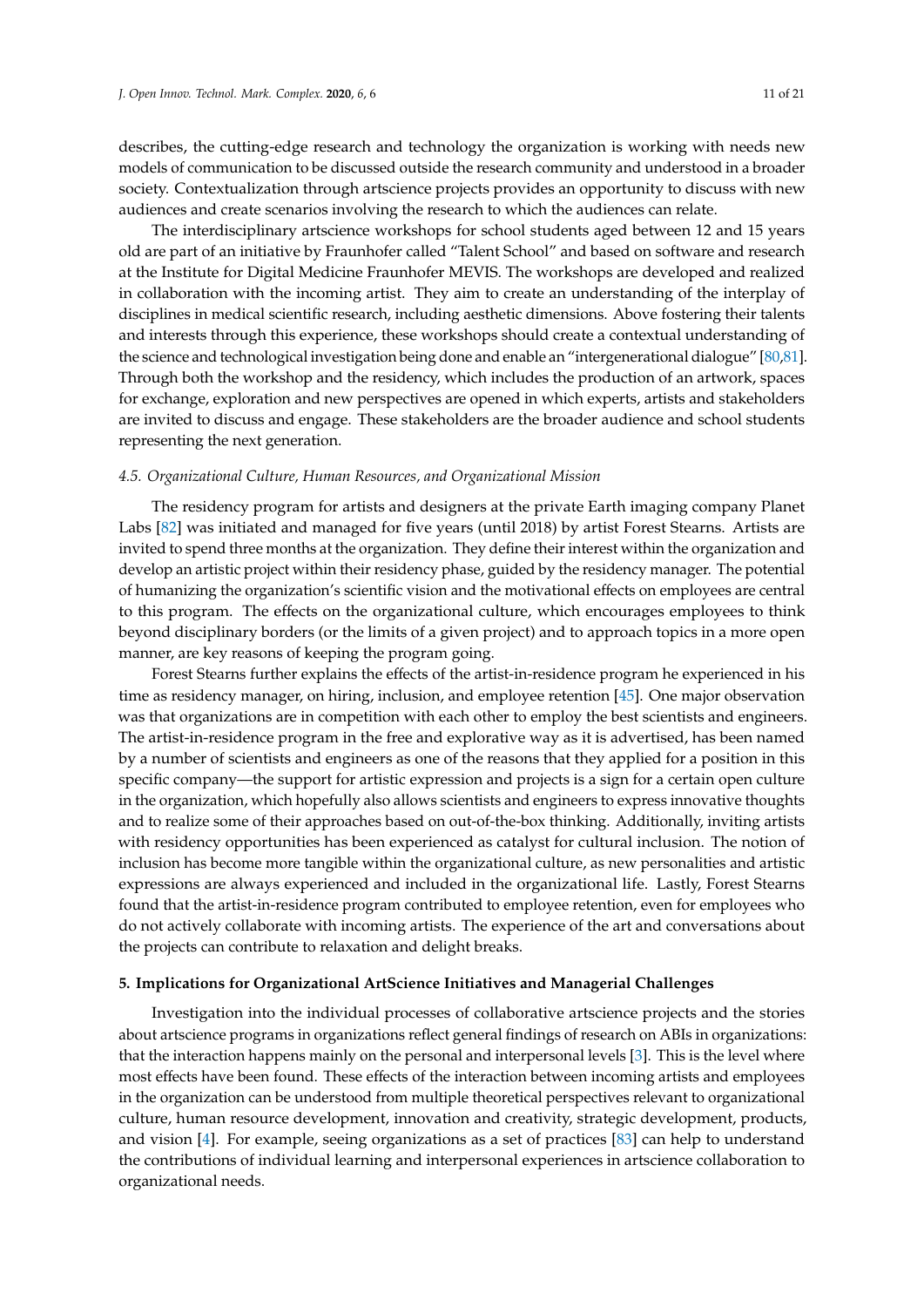describes, the cutting-edge research and technology the organization is working with needs new models of communication to be discussed outside the research community and understood in a broader society. Contextualization through artscience projects provides an opportunity to discuss with new audiences and create scenarios involving the research to which the audiences can relate.

The interdisciplinary artscience workshops for school students aged between 12 and 15 years old are part of an initiative by Fraunhofer called "Talent School" and based on software and research at the Institute for Digital Medicine Fraunhofer MEVIS. The workshops are developed and realized in collaboration with the incoming artist. They aim to create an understanding of the interplay of disciplines in medical scientific research, including aesthetic dimensions. Above fostering their talents and interests through this experience, these workshops should create a contextual understanding of the science and technological investigation being done and enable an "intergenerational dialogue" [\[80,](#page-19-3)[81\]](#page-19-4). Through both the workshop and the residency, which includes the production of an artwork, spaces for exchange, exploration and new perspectives are opened in which experts, artists and stakeholders are invited to discuss and engage. These stakeholders are the broader audience and school students representing the next generation.

#### *4.5. Organizational Culture, Human Resources, and Organizational Mission*

The residency program for artists and designers at the private Earth imaging company Planet Labs [\[82\]](#page-19-5) was initiated and managed for five years (until 2018) by artist Forest Stearns. Artists are invited to spend three months at the organization. They define their interest within the organization and develop an artistic project within their residency phase, guided by the residency manager. The potential of humanizing the organization's scientific vision and the motivational effects on employees are central to this program. The effects on the organizational culture, which encourages employees to think beyond disciplinary borders (or the limits of a given project) and to approach topics in a more open manner, are key reasons of keeping the program going.

Forest Stearns further explains the effects of the artist-in-residence program he experienced in his time as residency manager, on hiring, inclusion, and employee retention [\[45\]](#page-17-20). One major observation was that organizations are in competition with each other to employ the best scientists and engineers. The artist-in-residence program in the free and explorative way as it is advertised, has been named by a number of scientists and engineers as one of the reasons that they applied for a position in this specific company—the support for artistic expression and projects is a sign for a certain open culture in the organization, which hopefully also allows scientists and engineers to express innovative thoughts and to realize some of their approaches based on out-of-the-box thinking. Additionally, inviting artists with residency opportunities has been experienced as catalyst for cultural inclusion. The notion of inclusion has become more tangible within the organizational culture, as new personalities and artistic expressions are always experienced and included in the organizational life. Lastly, Forest Stearns found that the artist-in-residence program contributed to employee retention, even for employees who do not actively collaborate with incoming artists. The experience of the art and conversations about the projects can contribute to relaxation and delight breaks.

#### <span id="page-10-0"></span>**5. Implications for Organizational ArtScience Initiatives and Managerial Challenges**

Investigation into the individual processes of collaborative artscience projects and the stories about artscience programs in organizations reflect general findings of research on ABIs in organizations: that the interaction happens mainly on the personal and interpersonal levels [\[3\]](#page-16-17). This is the level where most effects have been found. These effects of the interaction between incoming artists and employees in the organization can be understood from multiple theoretical perspectives relevant to organizational culture, human resource development, innovation and creativity, strategic development, products, and vision [\[4\]](#page-16-18). For example, seeing organizations as a set of practices [\[83\]](#page-19-6) can help to understand the contributions of individual learning and interpersonal experiences in artscience collaboration to organizational needs.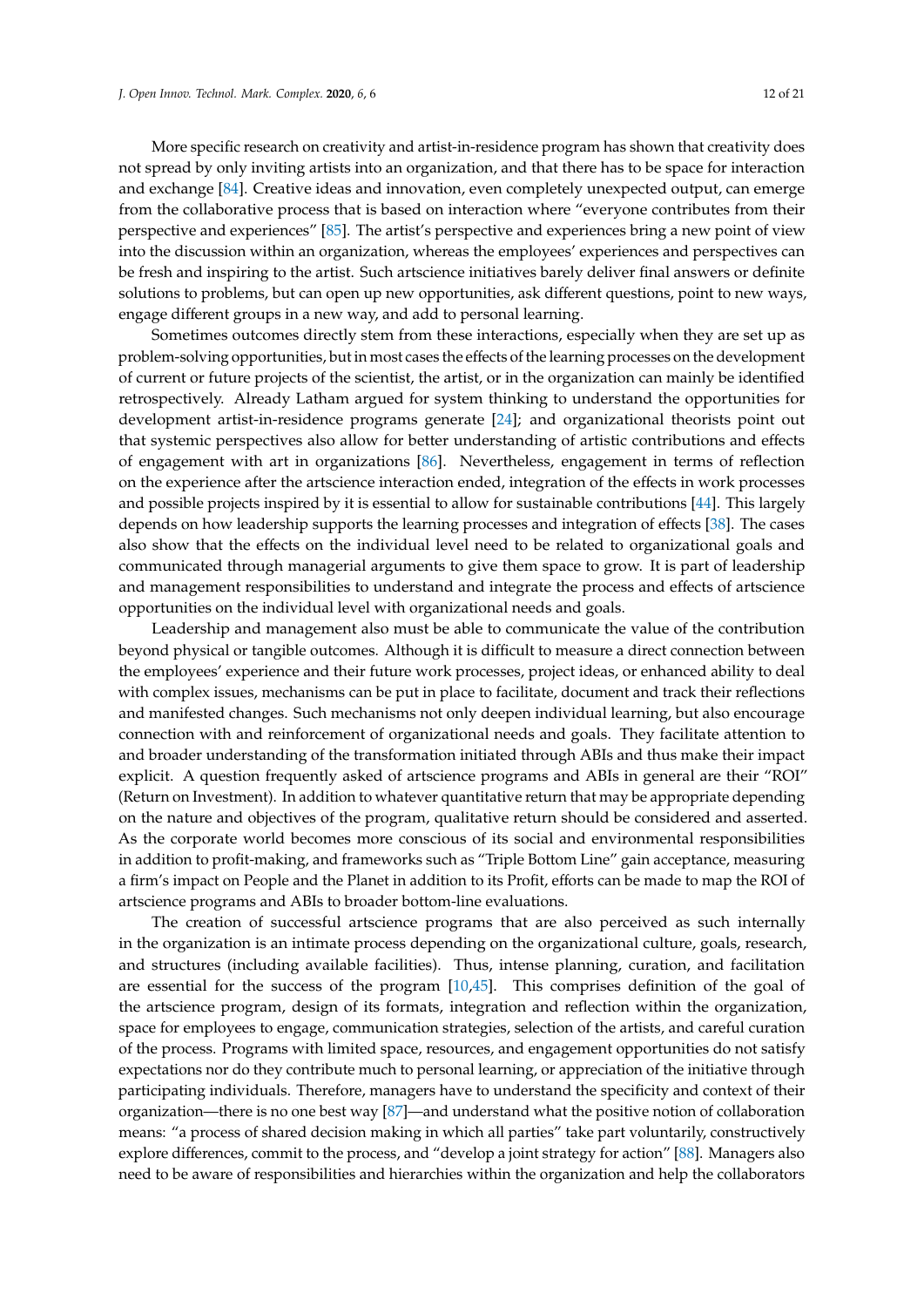More specific research on creativity and artist-in-residence program has shown that creativity does not spread by only inviting artists into an organization, and that there has to be space for interaction and exchange [\[84\]](#page-19-7). Creative ideas and innovation, even completely unexpected output, can emerge from the collaborative process that is based on interaction where "everyone contributes from their perspective and experiences" [\[85\]](#page-19-8). The artist's perspective and experiences bring a new point of view into the discussion within an organization, whereas the employees' experiences and perspectives can be fresh and inspiring to the artist. Such artscience initiatives barely deliver final answers or definite solutions to problems, but can open up new opportunities, ask different questions, point to new ways, engage different groups in a new way, and add to personal learning.

Sometimes outcomes directly stem from these interactions, especially when they are set up as problem-solving opportunities, but in most cases the effects of the learning processes on the development of current or future projects of the scientist, the artist, or in the organization can mainly be identified retrospectively. Already Latham argued for system thinking to understand the opportunities for development artist-in-residence programs generate [\[24\]](#page-17-0); and organizational theorists point out that systemic perspectives also allow for better understanding of artistic contributions and effects of engagement with art in organizations [\[86\]](#page-19-9). Nevertheless, engagement in terms of reflection on the experience after the artscience interaction ended, integration of the effects in work processes and possible projects inspired by it is essential to allow for sustainable contributions [\[44\]](#page-17-19). This largely depends on how leadership supports the learning processes and integration of effects [\[38\]](#page-17-13). The cases also show that the effects on the individual level need to be related to organizational goals and communicated through managerial arguments to give them space to grow. It is part of leadership and management responsibilities to understand and integrate the process and effects of artscience opportunities on the individual level with organizational needs and goals.

Leadership and management also must be able to communicate the value of the contribution beyond physical or tangible outcomes. Although it is difficult to measure a direct connection between the employees' experience and their future work processes, project ideas, or enhanced ability to deal with complex issues, mechanisms can be put in place to facilitate, document and track their reflections and manifested changes. Such mechanisms not only deepen individual learning, but also encourage connection with and reinforcement of organizational needs and goals. They facilitate attention to and broader understanding of the transformation initiated through ABIs and thus make their impact explicit. A question frequently asked of artscience programs and ABIs in general are their "ROI" (Return on Investment). In addition to whatever quantitative return that may be appropriate depending on the nature and objectives of the program, qualitative return should be considered and asserted. As the corporate world becomes more conscious of its social and environmental responsibilities in addition to profit-making, and frameworks such as "Triple Bottom Line" gain acceptance, measuring a firm's impact on People and the Planet in addition to its Profit, efforts can be made to map the ROI of artscience programs and ABIs to broader bottom-line evaluations.

The creation of successful artscience programs that are also perceived as such internally in the organization is an intimate process depending on the organizational culture, goals, research, and structures (including available facilities). Thus, intense planning, curation, and facilitation are essential for the success of the program  $[10,45]$  $[10,45]$ . This comprises definition of the goal of the artscience program, design of its formats, integration and reflection within the organization, space for employees to engage, communication strategies, selection of the artists, and careful curation of the process. Programs with limited space, resources, and engagement opportunities do not satisfy expectations nor do they contribute much to personal learning, or appreciation of the initiative through participating individuals. Therefore, managers have to understand the specificity and context of their organization—there is no one best way [\[87\]](#page-19-10)—and understand what the positive notion of collaboration means: "a process of shared decision making in which all parties" take part voluntarily, constructively explore differences, commit to the process, and "develop a joint strategy for action" [\[88\]](#page-19-11). Managers also need to be aware of responsibilities and hierarchies within the organization and help the collaborators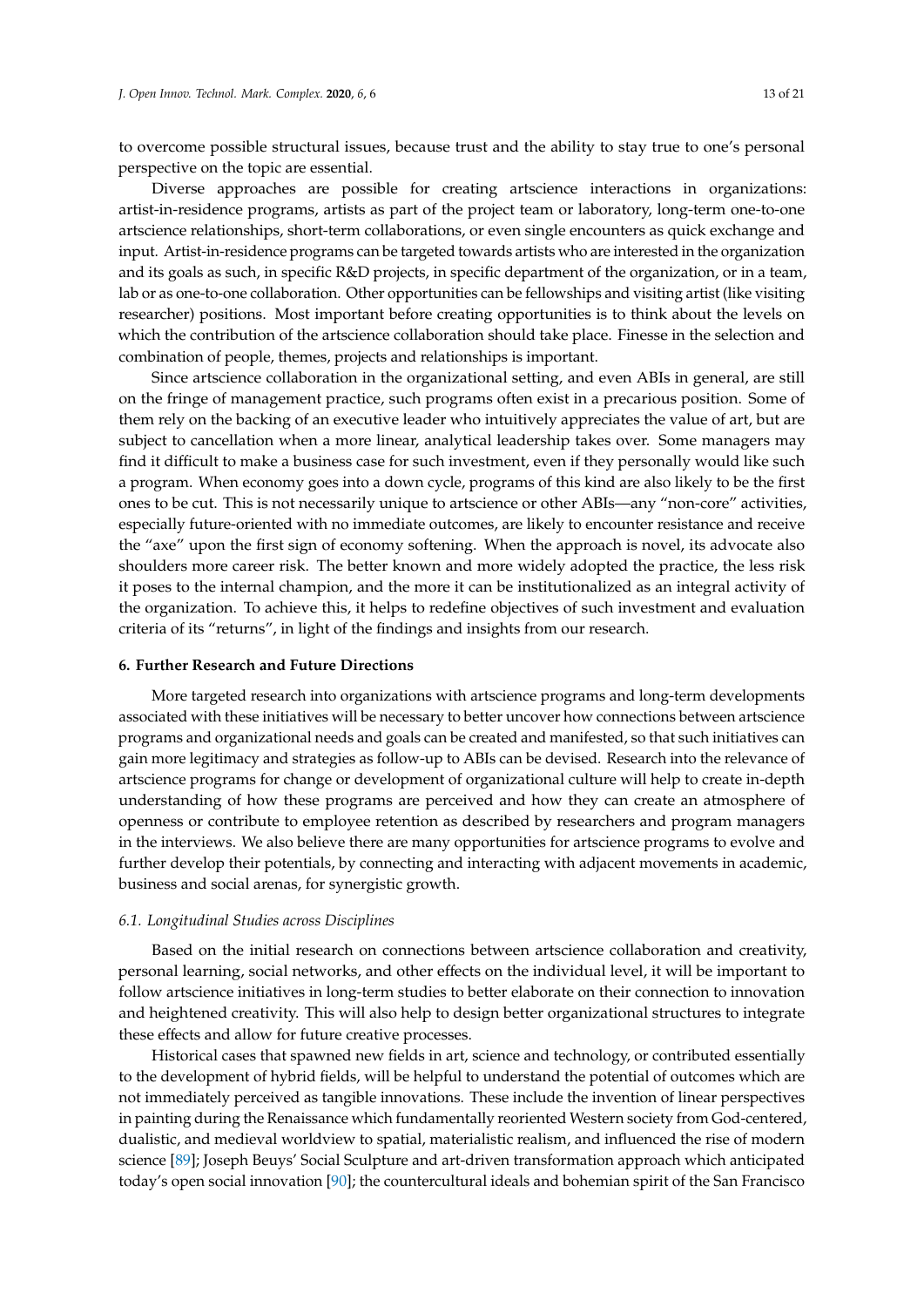to overcome possible structural issues, because trust and the ability to stay true to one's personal perspective on the topic are essential.

Diverse approaches are possible for creating artscience interactions in organizations: artist-in-residence programs, artists as part of the project team or laboratory, long-term one-to-one artscience relationships, short-term collaborations, or even single encounters as quick exchange and input. Artist-in-residence programs can be targeted towards artists who are interested in the organization and its goals as such, in specific R&D projects, in specific department of the organization, or in a team, lab or as one-to-one collaboration. Other opportunities can be fellowships and visiting artist (like visiting researcher) positions. Most important before creating opportunities is to think about the levels on which the contribution of the artscience collaboration should take place. Finesse in the selection and combination of people, themes, projects and relationships is important.

Since artscience collaboration in the organizational setting, and even ABIs in general, are still on the fringe of management practice, such programs often exist in a precarious position. Some of them rely on the backing of an executive leader who intuitively appreciates the value of art, but are subject to cancellation when a more linear, analytical leadership takes over. Some managers may find it difficult to make a business case for such investment, even if they personally would like such a program. When economy goes into a down cycle, programs of this kind are also likely to be the first ones to be cut. This is not necessarily unique to artscience or other ABIs—any "non-core" activities, especially future-oriented with no immediate outcomes, are likely to encounter resistance and receive the "axe" upon the first sign of economy softening. When the approach is novel, its advocate also shoulders more career risk. The better known and more widely adopted the practice, the less risk it poses to the internal champion, and the more it can be institutionalized as an integral activity of the organization. To achieve this, it helps to redefine objectives of such investment and evaluation criteria of its "returns", in light of the findings and insights from our research.

#### **6. Further Research and Future Directions**

More targeted research into organizations with artscience programs and long-term developments associated with these initiatives will be necessary to better uncover how connections between artscience programs and organizational needs and goals can be created and manifested, so that such initiatives can gain more legitimacy and strategies as follow-up to ABIs can be devised. Research into the relevance of artscience programs for change or development of organizational culture will help to create in-depth understanding of how these programs are perceived and how they can create an atmosphere of openness or contribute to employee retention as described by researchers and program managers in the interviews. We also believe there are many opportunities for artscience programs to evolve and further develop their potentials, by connecting and interacting with adjacent movements in academic, business and social arenas, for synergistic growth.

## *6.1. Longitudinal Studies across Disciplines*

Based on the initial research on connections between artscience collaboration and creativity, personal learning, social networks, and other effects on the individual level, it will be important to follow artscience initiatives in long-term studies to better elaborate on their connection to innovation and heightened creativity. This will also help to design better organizational structures to integrate these effects and allow for future creative processes.

Historical cases that spawned new fields in art, science and technology, or contributed essentially to the development of hybrid fields, will be helpful to understand the potential of outcomes which are not immediately perceived as tangible innovations. These include the invention of linear perspectives in painting during the Renaissance which fundamentally reoriented Western society from God-centered, dualistic, and medieval worldview to spatial, materialistic realism, and influenced the rise of modern science [\[89\]](#page-19-12); Joseph Beuys' Social Sculpture and art-driven transformation approach which anticipated today's open social innovation [\[90\]](#page-19-13); the countercultural ideals and bohemian spirit of the San Francisco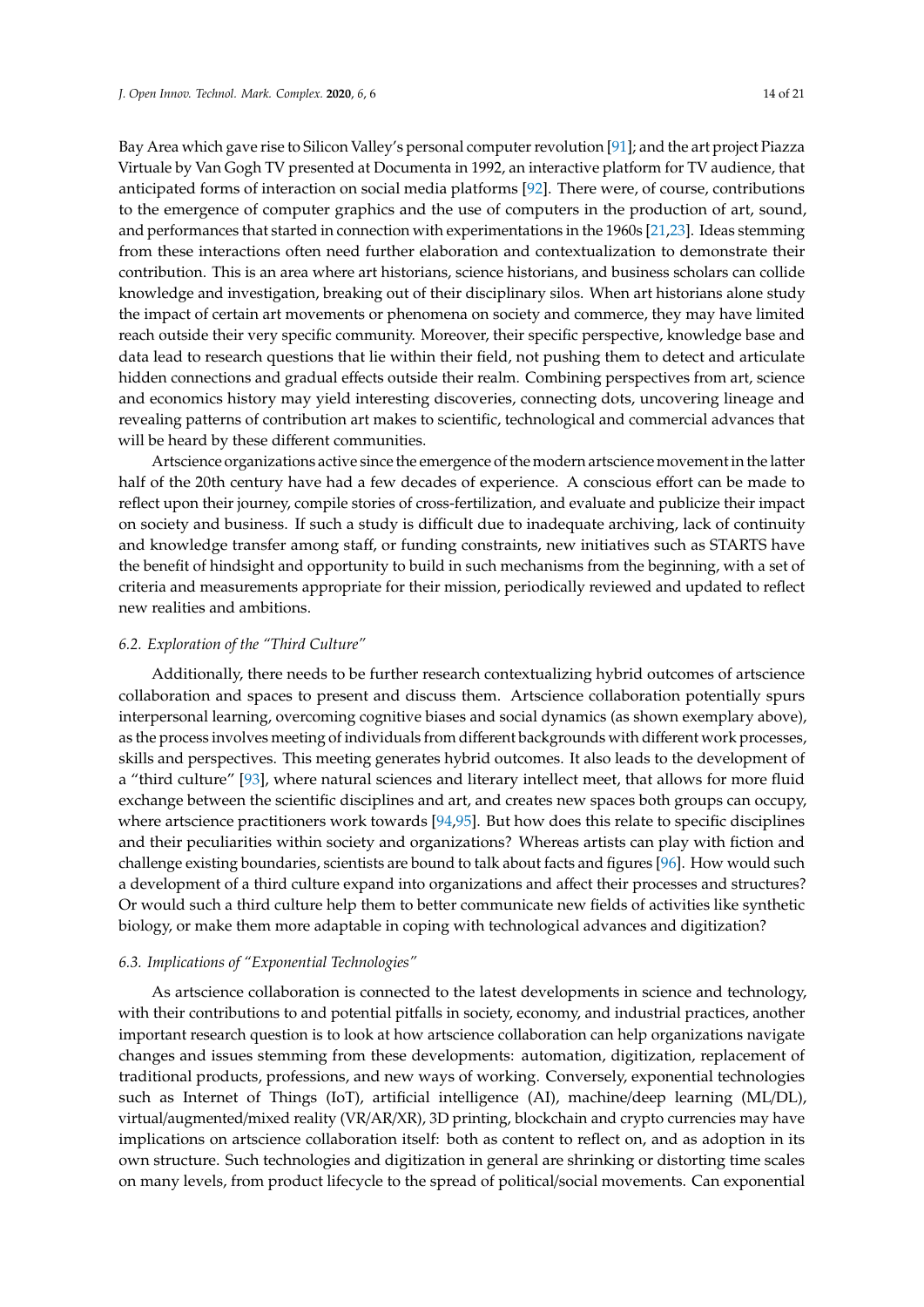Bay Area which gave rise to Silicon Valley's personal computer revolution [\[91\]](#page-19-14); and the art project Piazza Virtuale by Van Gogh TV presented at Documenta in 1992, an interactive platform for TV audience, that anticipated forms of interaction on social media platforms [\[92\]](#page-19-15). There were, of course, contributions to the emergence of computer graphics and the use of computers in the production of art, sound, and performances that started in connection with experimentations in the 1960s [\[21](#page-16-14)[,23\]](#page-16-16). Ideas stemming from these interactions often need further elaboration and contextualization to demonstrate their contribution. This is an area where art historians, science historians, and business scholars can collide knowledge and investigation, breaking out of their disciplinary silos. When art historians alone study the impact of certain art movements or phenomena on society and commerce, they may have limited reach outside their very specific community. Moreover, their specific perspective, knowledge base and data lead to research questions that lie within their field, not pushing them to detect and articulate hidden connections and gradual effects outside their realm. Combining perspectives from art, science and economics history may yield interesting discoveries, connecting dots, uncovering lineage and revealing patterns of contribution art makes to scientific, technological and commercial advances that will be heard by these different communities.

Artscience organizations active since the emergence of the modern artscience movement in the latter half of the 20th century have had a few decades of experience. A conscious effort can be made to reflect upon their journey, compile stories of cross-fertilization, and evaluate and publicize their impact on society and business. If such a study is difficult due to inadequate archiving, lack of continuity and knowledge transfer among staff, or funding constraints, new initiatives such as STARTS have the benefit of hindsight and opportunity to build in such mechanisms from the beginning, with a set of criteria and measurements appropriate for their mission, periodically reviewed and updated to reflect new realities and ambitions.

## *6.2. Exploration of the "Third Culture"*

Additionally, there needs to be further research contextualizing hybrid outcomes of artscience collaboration and spaces to present and discuss them. Artscience collaboration potentially spurs interpersonal learning, overcoming cognitive biases and social dynamics (as shown exemplary above), as the process involves meeting of individuals from different backgrounds with different work processes, skills and perspectives. This meeting generates hybrid outcomes. It also leads to the development of a "third culture" [\[93\]](#page-19-16), where natural sciences and literary intellect meet, that allows for more fluid exchange between the scientific disciplines and art, and creates new spaces both groups can occupy, where artscience practitioners work towards [\[94](#page-19-17)[,95\]](#page-19-18). But how does this relate to specific disciplines and their peculiarities within society and organizations? Whereas artists can play with fiction and challenge existing boundaries, scientists are bound to talk about facts and figures [\[96\]](#page-19-19). How would such a development of a third culture expand into organizations and affect their processes and structures? Or would such a third culture help them to better communicate new fields of activities like synthetic biology, or make them more adaptable in coping with technological advances and digitization?

# *6.3. Implications of "Exponential Technologies"*

As artscience collaboration is connected to the latest developments in science and technology, with their contributions to and potential pitfalls in society, economy, and industrial practices, another important research question is to look at how artscience collaboration can help organizations navigate changes and issues stemming from these developments: automation, digitization, replacement of traditional products, professions, and new ways of working. Conversely, exponential technologies such as Internet of Things (IoT), artificial intelligence (AI), machine/deep learning (ML/DL), virtual/augmented/mixed reality (VR/AR/XR), 3D printing, blockchain and crypto currencies may have implications on artscience collaboration itself: both as content to reflect on, and as adoption in its own structure. Such technologies and digitization in general are shrinking or distorting time scales on many levels, from product lifecycle to the spread of political/social movements. Can exponential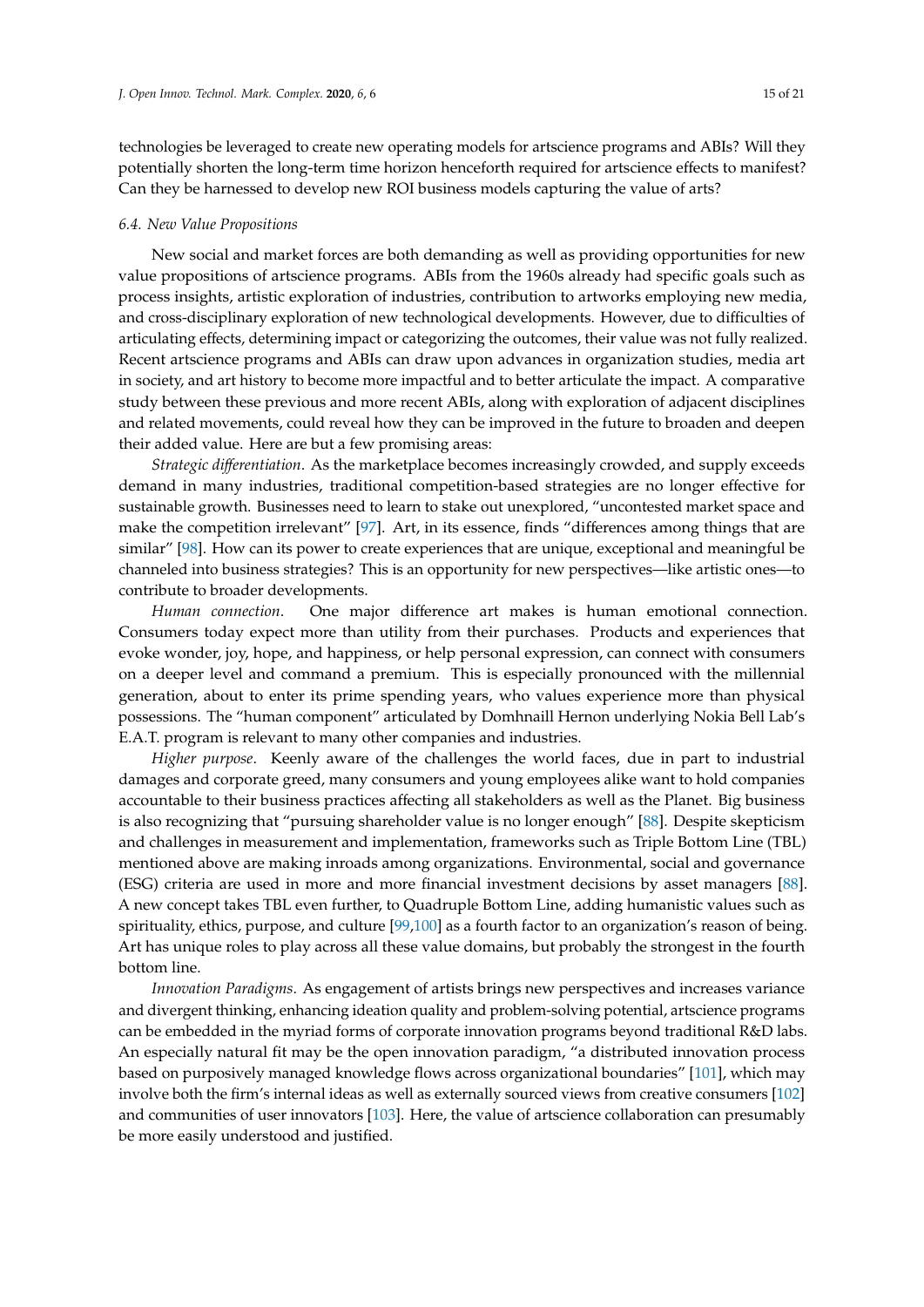technologies be leveraged to create new operating models for artscience programs and ABIs? Will they potentially shorten the long-term time horizon henceforth required for artscience effects to manifest? Can they be harnessed to develop new ROI business models capturing the value of arts?

#### *6.4. New Value Propositions*

New social and market forces are both demanding as well as providing opportunities for new value propositions of artscience programs. ABIs from the 1960s already had specific goals such as process insights, artistic exploration of industries, contribution to artworks employing new media, and cross-disciplinary exploration of new technological developments. However, due to difficulties of articulating effects, determining impact or categorizing the outcomes, their value was not fully realized. Recent artscience programs and ABIs can draw upon advances in organization studies, media art in society, and art history to become more impactful and to better articulate the impact. A comparative study between these previous and more recent ABIs, along with exploration of adjacent disciplines and related movements, could reveal how they can be improved in the future to broaden and deepen their added value. Here are but a few promising areas:

*Strategic di*ff*erentiation*. As the marketplace becomes increasingly crowded, and supply exceeds demand in many industries, traditional competition-based strategies are no longer effective for sustainable growth. Businesses need to learn to stake out unexplored, "uncontested market space and make the competition irrelevant" [\[97\]](#page-19-20). Art, in its essence, finds "differences among things that are similar" [\[98\]](#page-19-21). How can its power to create experiences that are unique, exceptional and meaningful be channeled into business strategies? This is an opportunity for new perspectives—like artistic ones—to contribute to broader developments.

*Human connection*. One major difference art makes is human emotional connection. Consumers today expect more than utility from their purchases. Products and experiences that evoke wonder, joy, hope, and happiness, or help personal expression, can connect with consumers on a deeper level and command a premium. This is especially pronounced with the millennial generation, about to enter its prime spending years, who values experience more than physical possessions. The "human component" articulated by Domhnaill Hernon underlying Nokia Bell Lab's E.A.T. program is relevant to many other companies and industries.

*Higher purpose*. Keenly aware of the challenges the world faces, due in part to industrial damages and corporate greed, many consumers and young employees alike want to hold companies accountable to their business practices affecting all stakeholders as well as the Planet. Big business is also recognizing that "pursuing shareholder value is no longer enough" [\[88\]](#page-19-11). Despite skepticism and challenges in measurement and implementation, frameworks such as Triple Bottom Line (TBL) mentioned above are making inroads among organizations. Environmental, social and governance (ESG) criteria are used in more and more financial investment decisions by asset managers [\[88\]](#page-19-11). A new concept takes TBL even further, to Quadruple Bottom Line, adding humanistic values such as spirituality, ethics, purpose, and culture [\[99,](#page-19-22)[100\]](#page-19-23) as a fourth factor to an organization's reason of being. Art has unique roles to play across all these value domains, but probably the strongest in the fourth bottom line.

*Innovation Paradigms*. As engagement of artists brings new perspectives and increases variance and divergent thinking, enhancing ideation quality and problem-solving potential, artscience programs can be embedded in the myriad forms of corporate innovation programs beyond traditional R&D labs. An especially natural fit may be the open innovation paradigm, "a distributed innovation process based on purposively managed knowledge flows across organizational boundaries" [\[101\]](#page-19-24), which may involve both the firm's internal ideas as well as externally sourced views from creative consumers [\[102\]](#page-19-25) and communities of user innovators [\[103\]](#page-19-26). Here, the value of artscience collaboration can presumably be more easily understood and justified.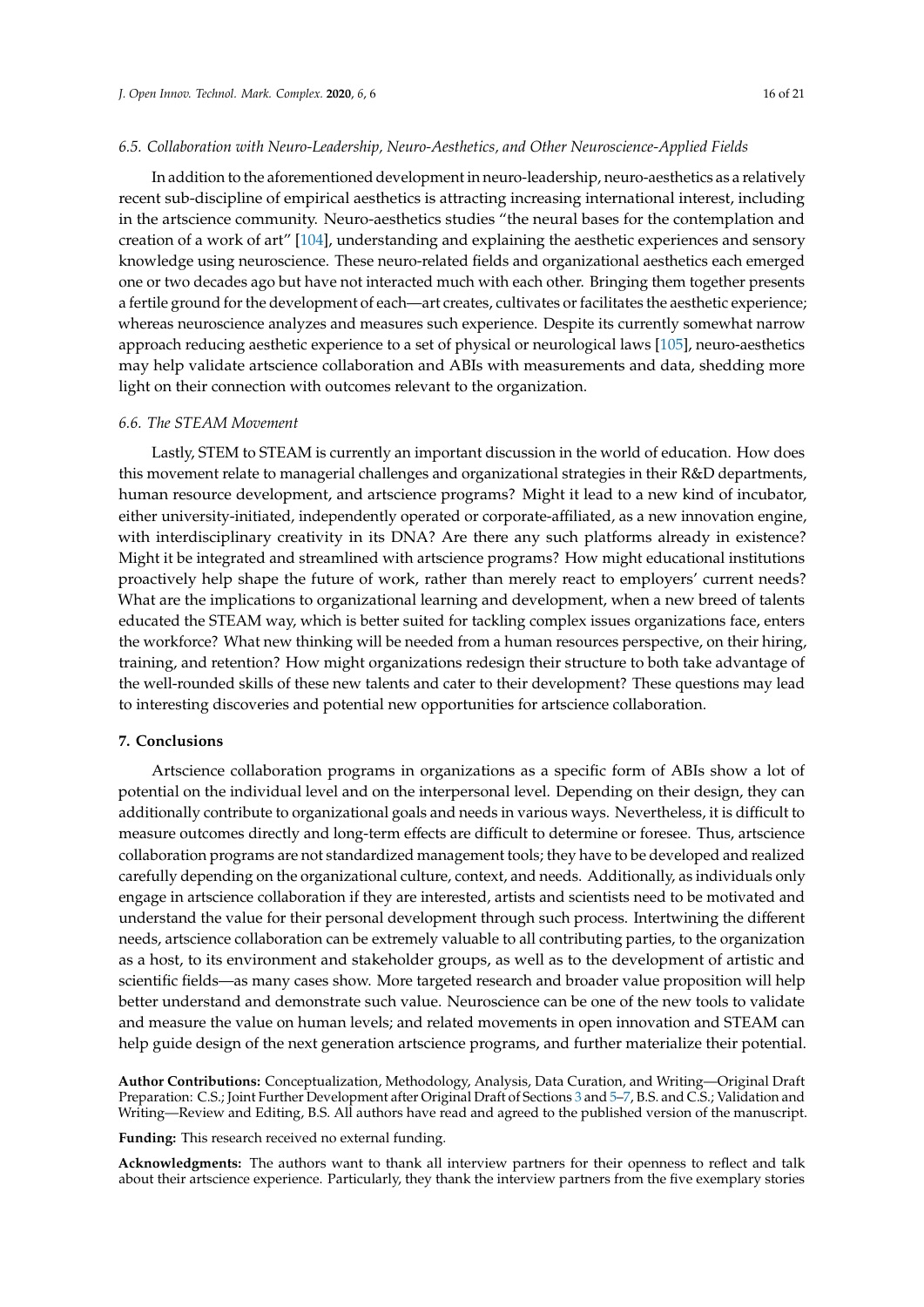## *6.5. Collaboration with Neuro-Leadership, Neuro-Aesthetics, and Other Neuroscience-Applied Fields*

In addition to the aforementioned development in neuro-leadership, neuro-aesthetics as a relatively recent sub-discipline of empirical aesthetics is attracting increasing international interest, including in the artscience community. Neuro-aesthetics studies "the neural bases for the contemplation and creation of a work of art" [\[104\]](#page-20-0), understanding and explaining the aesthetic experiences and sensory knowledge using neuroscience. These neuro-related fields and organizational aesthetics each emerged one or two decades ago but have not interacted much with each other. Bringing them together presents a fertile ground for the development of each—art creates, cultivates or facilitates the aesthetic experience; whereas neuroscience analyzes and measures such experience. Despite its currently somewhat narrow approach reducing aesthetic experience to a set of physical or neurological laws [\[105\]](#page-20-1), neuro-aesthetics may help validate artscience collaboration and ABIs with measurements and data, shedding more light on their connection with outcomes relevant to the organization.

## *6.6. The STEAM Movement*

Lastly, STEM to STEAM is currently an important discussion in the world of education. How does this movement relate to managerial challenges and organizational strategies in their R&D departments, human resource development, and artscience programs? Might it lead to a new kind of incubator, either university-initiated, independently operated or corporate-affiliated, as a new innovation engine, with interdisciplinary creativity in its DNA? Are there any such platforms already in existence? Might it be integrated and streamlined with artscience programs? How might educational institutions proactively help shape the future of work, rather than merely react to employers' current needs? What are the implications to organizational learning and development, when a new breed of talents educated the STEAM way, which is better suited for tackling complex issues organizations face, enters the workforce? What new thinking will be needed from a human resources perspective, on their hiring, training, and retention? How might organizations redesign their structure to both take advantage of the well-rounded skills of these new talents and cater to their development? These questions may lead to interesting discoveries and potential new opportunities for artscience collaboration.

## <span id="page-15-0"></span>**7. Conclusions**

Artscience collaboration programs in organizations as a specific form of ABIs show a lot of potential on the individual level and on the interpersonal level. Depending on their design, they can additionally contribute to organizational goals and needs in various ways. Nevertheless, it is difficult to measure outcomes directly and long-term effects are difficult to determine or foresee. Thus, artscience collaboration programs are not standardized management tools; they have to be developed and realized carefully depending on the organizational culture, context, and needs. Additionally, as individuals only engage in artscience collaboration if they are interested, artists and scientists need to be motivated and understand the value for their personal development through such process. Intertwining the different needs, artscience collaboration can be extremely valuable to all contributing parties, to the organization as a host, to its environment and stakeholder groups, as well as to the development of artistic and scientific fields—as many cases show. More targeted research and broader value proposition will help better understand and demonstrate such value. Neuroscience can be one of the new tools to validate and measure the value on human levels; and related movements in open innovation and STEAM can help guide design of the next generation artscience programs, and further materialize their potential.

**Author Contributions:** Conceptualization, Methodology, Analysis, Data Curation, and Writing—Original Draft Preparation: C.S.; Joint Further Development after Original Draft of Sections [3](#page-5-0) and [5](#page-10-0)[–7,](#page-15-0) B.S. and C.S.; Validation and Writing—Review and Editing, B.S. All authors have read and agreed to the published version of the manuscript.

**Funding:** This research received no external funding.

**Acknowledgments:** The authors want to thank all interview partners for their openness to reflect and talk about their artscience experience. Particularly, they thank the interview partners from the five exemplary stories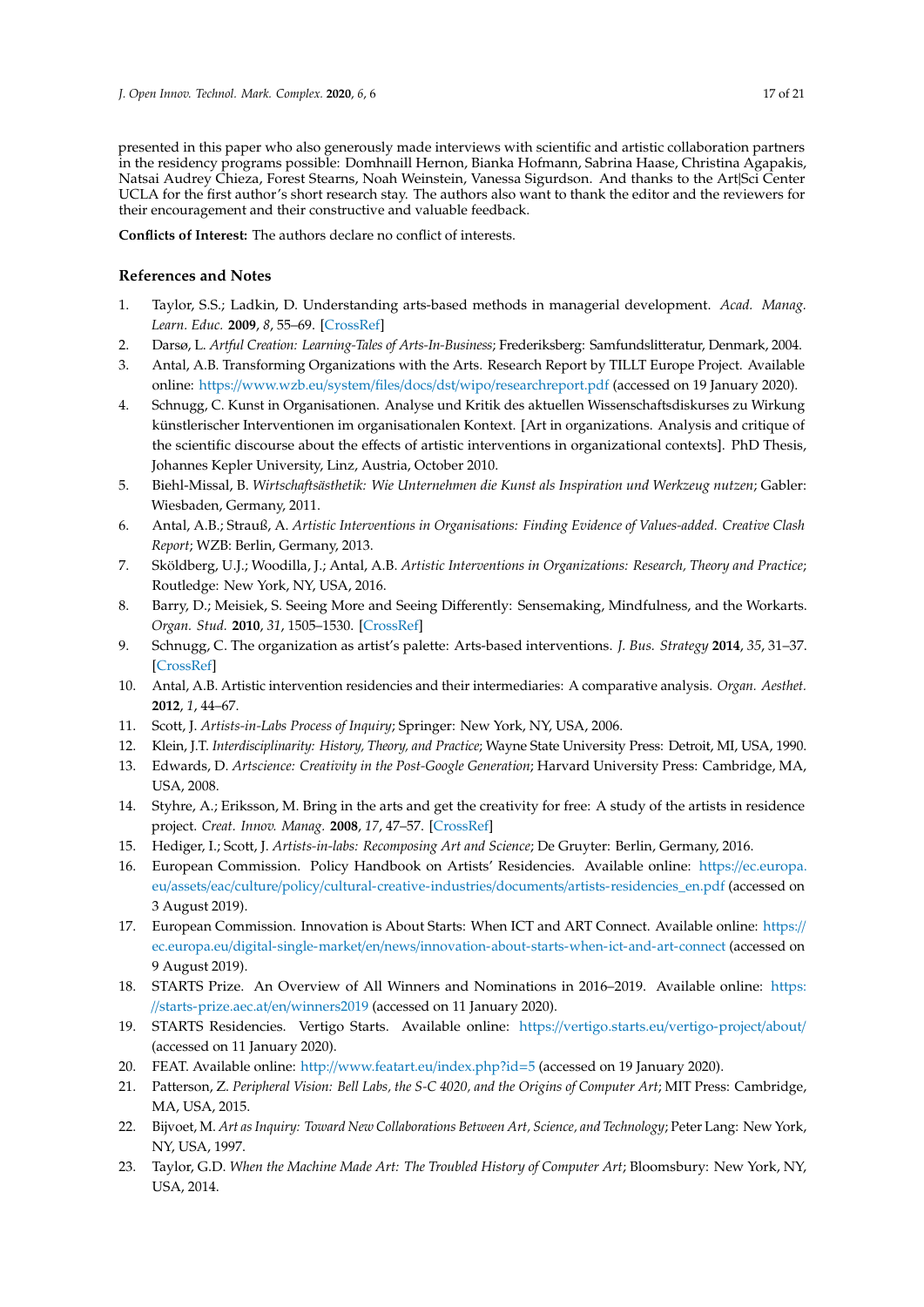presented in this paper who also generously made interviews with scientific and artistic collaboration partners in the residency programs possible: Domhnaill Hernon, Bianka Hofmann, Sabrina Haase, Christina Agapakis, Natsai Audrey Chieza, Forest Stearns, Noah Weinstein, Vanessa Sigurdson. And thanks to the Art|Sci Center UCLA for the first author's short research stay. The authors also want to thank the editor and the reviewers for their encouragement and their constructive and valuable feedback.

**Conflicts of Interest:** The authors declare no conflict of interests.

# **References and Notes**

- <span id="page-16-0"></span>1. Taylor, S.S.; Ladkin, D. Understanding arts-based methods in managerial development. *Acad. Manag. Learn. Educ.* **2009**, *8*, 55–69. [\[CrossRef\]](http://dx.doi.org/10.5465/amle.2009.37012179)
- 2. Darsø, L. *Artful Creation: Learning-Tales of Arts-In-Business*; Frederiksberg: Samfundslitteratur, Denmark, 2004.
- <span id="page-16-17"></span>3. Antal, A.B. Transforming Organizations with the Arts. Research Report by TILLT Europe Project. Available online: https://www.wzb.eu/system/files/docs/dst/wipo/[researchreport.pdf](https://www.wzb.eu/system/files/docs/dst/wipo/researchreport.pdf) (accessed on 19 January 2020).
- <span id="page-16-18"></span>4. Schnugg, C. Kunst in Organisationen. Analyse und Kritik des aktuellen Wissenschaftsdiskurses zu Wirkung künstlerischer Interventionen im organisationalen Kontext. [Art in organizations. Analysis and critique of the scientific discourse about the effects of artistic interventions in organizational contexts]. PhD Thesis, Johannes Kepler University, Linz, Austria, October 2010.
- <span id="page-16-1"></span>5. Biehl-Missal, B. *Wirtschaftsästhetik: Wie Unternehmen die Kunst als Inspiration und Werkzeug nutzen*; Gabler: Wiesbaden, Germany, 2011.
- <span id="page-16-2"></span>6. Antal, A.B.; Strauß, A. *Artistic Interventions in Organisations: Finding Evidence of Values-added. Creative Clash Report*; WZB: Berlin, Germany, 2013.
- 7. Sköldberg, U.J.; Woodilla, J.; Antal, A.B. *Artistic Interventions in Organizations: Research, Theory and Practice*; Routledge: New York, NY, USA, 2016.
- <span id="page-16-3"></span>8. Barry, D.; Meisiek, S. Seeing More and Seeing Differently: Sensemaking, Mindfulness, and the Workarts. *Organ. Stud.* **2010**, *31*, 1505–1530. [\[CrossRef\]](http://dx.doi.org/10.1177/0170840610380802)
- <span id="page-16-4"></span>9. Schnugg, C. The organization as artist's palette: Arts-based interventions. *J. Bus. Strategy* **2014**, *35*, 31–37. [\[CrossRef\]](http://dx.doi.org/10.1108/JBS-02-2013-0015)
- <span id="page-16-5"></span>10. Antal, A.B. Artistic intervention residencies and their intermediaries: A comparative analysis. *Organ. Aesthet.* **2012**, *1*, 44–67.
- <span id="page-16-6"></span>11. Scott, J. *Artists-in-Labs Process of Inquiry*; Springer: New York, NY, USA, 2006.
- <span id="page-16-7"></span>12. Klein, J.T. *Interdisciplinarity: History, Theory, and Practice*; Wayne State University Press: Detroit, MI, USA, 1990.
- <span id="page-16-8"></span>13. Edwards, D. *Artscience: Creativity in the Post-Google Generation*; Harvard University Press: Cambridge, MA, USA, 2008.
- <span id="page-16-9"></span>14. Styhre, A.; Eriksson, M. Bring in the arts and get the creativity for free: A study of the artists in residence project. *Creat. Innov. Manag.* **2008**, *17*, 47–57. [\[CrossRef\]](http://dx.doi.org/10.1111/j.1467-8691.2007.00458.x)
- 15. Hediger, I.; Scott, J. *Artists-in-labs: Recomposing Art and Science*; De Gruyter: Berlin, Germany, 2016.
- 16. European Commission. Policy Handbook on Artists' Residencies. Available online: https://[ec.europa.](https://ec.europa.eu/assets/eac/culture/policy/cultural-creative-industries/documents/artists-residencies_en.pdf) eu/assets/eac/culture/policy/[cultural-creative-industries](https://ec.europa.eu/assets/eac/culture/policy/cultural-creative-industries/documents/artists-residencies_en.pdf)/documents/artists-residencies\_en.pdf (accessed on 3 August 2019).
- <span id="page-16-10"></span>17. European Commission. Innovation is About Starts: When ICT and ART Connect. Available online: [https:](https://ec.europa.eu/digital-single-market/en/news/innovation-about-starts-when-ict-and-art-connect)// ec.europa.eu/digital-single-market/en/news/[innovation-about-starts-when-ict-and-art-connect](https://ec.europa.eu/digital-single-market/en/news/innovation-about-starts-when-ict-and-art-connect) (accessed on 9 August 2019).
- <span id="page-16-11"></span>18. STARTS Prize. An Overview of All Winners and Nominations in 2016–2019. Available online: [https:](https://starts-prize.aec.at/en/winners2019) //[starts-prize.aec.at](https://starts-prize.aec.at/en/winners2019)/en/winners2019 (accessed on 11 January 2020).
- <span id="page-16-12"></span>19. STARTS Residencies. Vertigo Starts. Available online: https://[vertigo.starts.eu](https://vertigo.starts.eu/vertigo-project/about/)/vertigo-project/about/ (accessed on 11 January 2020).
- <span id="page-16-13"></span>20. FEAT. Available online: http://[www.featart.eu](http://www.featart.eu/index.php?id=5)/index.php?id=5 (accessed on 19 January 2020).
- <span id="page-16-14"></span>21. Patterson, Z. *Peripheral Vision: Bell Labs, the S-C 4020, and the Origins of Computer Art*; MIT Press: Cambridge, MA, USA, 2015.
- <span id="page-16-15"></span>22. Bijvoet, M. *Art as Inquiry: Toward New Collaborations Between Art, Science, and Technology*; Peter Lang: New York, NY, USA, 1997.
- <span id="page-16-16"></span>23. Taylor, G.D. *When the Machine Made Art: The Troubled History of Computer Art*; Bloomsbury: New York, NY, USA, 2014.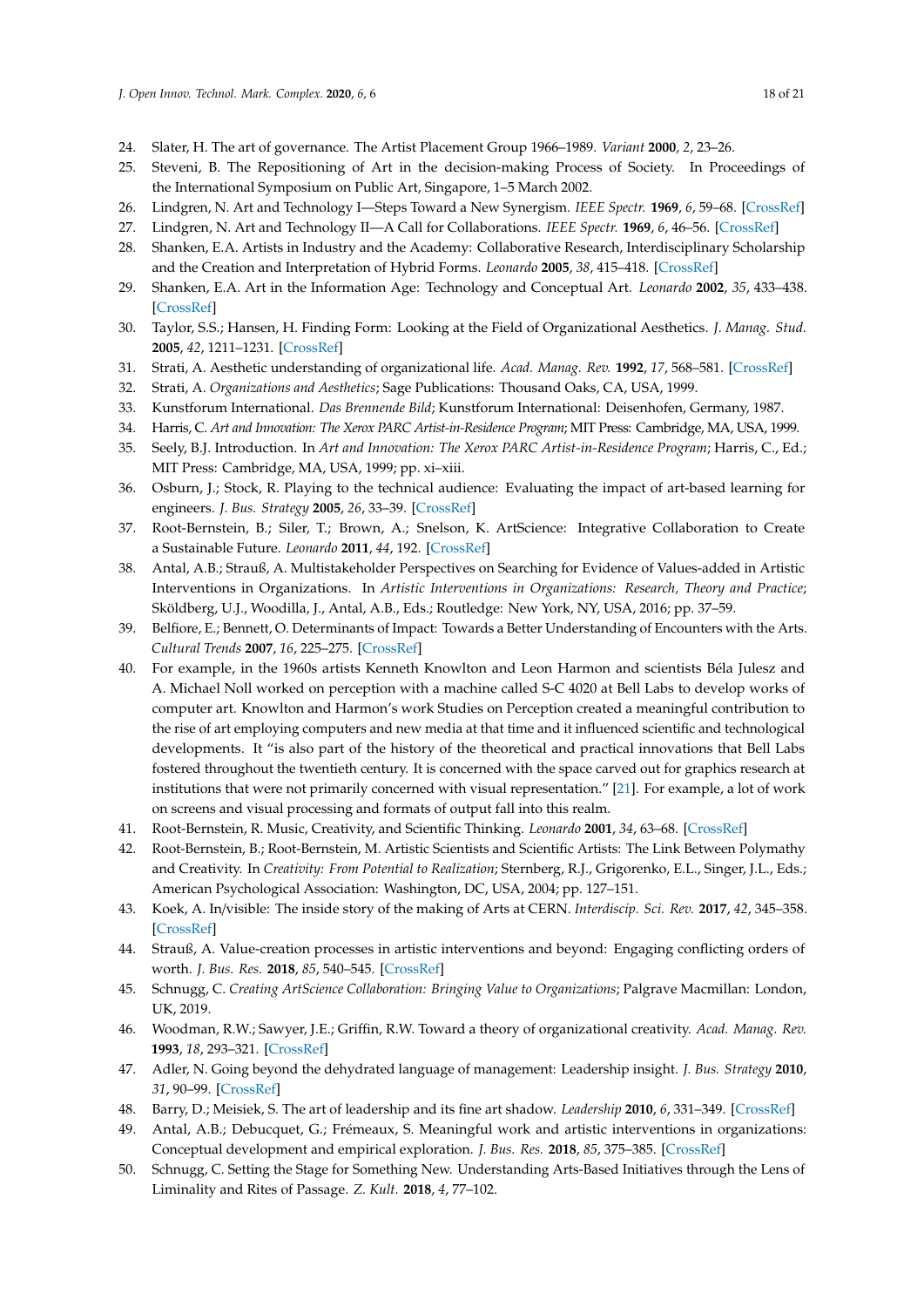- <span id="page-17-0"></span>24. Slater, H. The art of governance. The Artist Placement Group 1966–1989. *Variant* **2000**, *2*, 23–26.
- <span id="page-17-1"></span>25. Steveni, B. The Repositioning of Art in the decision-making Process of Society. In Proceedings of the International Symposium on Public Art, Singapore, 1–5 March 2002.
- <span id="page-17-2"></span>26. Lindgren, N. Art and Technology I—Steps Toward a New Synergism. *IEEE Spectr.* **1969**, *6*, 59–68. [\[CrossRef\]](http://dx.doi.org/10.1109/MSPEC.1969.5214054)
- <span id="page-17-3"></span>27. Lindgren, N. Art and Technology II—A Call for Collaborations. *IEEE Spectr.* **1969**, *6*, 46–56. [\[CrossRef\]](http://dx.doi.org/10.1109/MSPEC.1969.5213810)
- <span id="page-17-4"></span>28. Shanken, E.A. Artists in Industry and the Academy: Collaborative Research, Interdisciplinary Scholarship and the Creation and Interpretation of Hybrid Forms. *Leonardo* **2005**, *38*, 415–418. [\[CrossRef\]](http://dx.doi.org/10.1162/leon.2005.38.5.415)
- <span id="page-17-5"></span>29. Shanken, E.A. Art in the Information Age: Technology and Conceptual Art. *Leonardo* **2002**, *35*, 433–438. [\[CrossRef\]](http://dx.doi.org/10.1162/002409402760181259)
- <span id="page-17-6"></span>30. Taylor, S.S.; Hansen, H. Finding Form: Looking at the Field of Organizational Aesthetics. *J. Manag. Stud.* **2005**, *42*, 1211–1231. [\[CrossRef\]](http://dx.doi.org/10.1111/j.1467-6486.2005.00539.x)
- 31. Strati, A. Aesthetic understanding of organizational life. *Acad. Manag. Rev.* **1992**, *17*, 568–581. [\[CrossRef\]](http://dx.doi.org/10.5465/amr.1992.4282009)
- <span id="page-17-7"></span>32. Strati, A. *Organizations and Aesthetics*; Sage Publications: Thousand Oaks, CA, USA, 1999.
- <span id="page-17-8"></span>33. Kunstforum International. *Das Brennende Bild*; Kunstforum International: Deisenhofen, Germany, 1987.
- <span id="page-17-9"></span>34. Harris, C. *Art and Innovation: The Xerox PARC Artist-in-Residence Program*; MIT Press: Cambridge, MA, USA, 1999.
- <span id="page-17-10"></span>35. Seely, B.J. Introduction. In *Art and Innovation: The Xerox PARC Artist-in-Residence Program*; Harris, C., Ed.; MIT Press: Cambridge, MA, USA, 1999; pp. xi–xiii.
- <span id="page-17-11"></span>36. Osburn, J.; Stock, R. Playing to the technical audience: Evaluating the impact of art-based learning for engineers. *J. Bus. Strategy* **2005**, *26*, 33–39. [\[CrossRef\]](http://dx.doi.org/10.1108/02756660510700519)
- <span id="page-17-12"></span>37. Root-Bernstein, B.; Siler, T.; Brown, A.; Snelson, K. ArtScience: Integrative Collaboration to Create a Sustainable Future. *Leonardo* **2011**, *44*, 192. [\[CrossRef\]](http://dx.doi.org/10.1162/LEON_e_00161)
- <span id="page-17-13"></span>38. Antal, A.B.; Strauß, A. Multistakeholder Perspectives on Searching for Evidence of Values-added in Artistic Interventions in Organizations. In *Artistic Interventions in Organizations: Research, Theory and Practice*; Sköldberg, U.J., Woodilla, J., Antal, A.B., Eds.; Routledge: New York, NY, USA, 2016; pp. 37–59.
- <span id="page-17-14"></span>39. Belfiore, E.; Bennett, O. Determinants of Impact: Towards a Better Understanding of Encounters with the Arts. *Cultural Trends* **2007**, *16*, 225–275. [\[CrossRef\]](http://dx.doi.org/10.1080/09548960701479417)
- <span id="page-17-15"></span>40. For example, in the 1960s artists Kenneth Knowlton and Leon Harmon and scientists Béla Julesz and A. Michael Noll worked on perception with a machine called S-C 4020 at Bell Labs to develop works of computer art. Knowlton and Harmon's work Studies on Perception created a meaningful contribution to the rise of art employing computers and new media at that time and it influenced scientific and technological developments. It "is also part of the history of the theoretical and practical innovations that Bell Labs fostered throughout the twentieth century. It is concerned with the space carved out for graphics research at institutions that were not primarily concerned with visual representation." [\[21\]](#page-16-14). For example, a lot of work on screens and visual processing and formats of output fall into this realm.
- <span id="page-17-16"></span>41. Root-Bernstein, R. Music, Creativity, and Scientific Thinking. *Leonardo* **2001**, *34*, 63–68. [\[CrossRef\]](http://dx.doi.org/10.1162/002409401300052532)
- <span id="page-17-17"></span>42. Root-Bernstein, B.; Root-Bernstein, M. Artistic Scientists and Scientific Artists: The Link Between Polymathy and Creativity. In *Creativity: From Potential to Realization*; Sternberg, R.J., Grigorenko, E.L., Singer, J.L., Eds.; American Psychological Association: Washington, DC, USA, 2004; pp. 127–151.
- <span id="page-17-18"></span>43. Koek, A. In/visible: The inside story of the making of Arts at CERN. *Interdiscip. Sci. Rev.* **2017**, *42*, 345–358. [\[CrossRef\]](http://dx.doi.org/10.1080/03080188.2017.1381225)
- <span id="page-17-19"></span>44. Strauß, A. Value-creation processes in artistic interventions and beyond: Engaging conflicting orders of worth. *J. Bus. Res.* **2018**, *85*, 540–545. [\[CrossRef\]](http://dx.doi.org/10.1016/j.jbusres.2017.10.033)
- <span id="page-17-20"></span>45. Schnugg, C. *Creating ArtScience Collaboration: Bringing Value to Organizations*; Palgrave Macmillan: London, UK, 2019.
- <span id="page-17-21"></span>46. Woodman, R.W.; Sawyer, J.E.; Griffin, R.W. Toward a theory of organizational creativity. *Acad. Manag. Rev.* **1993**, *18*, 293–321. [\[CrossRef\]](http://dx.doi.org/10.5465/amr.1993.3997517)
- <span id="page-17-22"></span>47. Adler, N. Going beyond the dehydrated language of management: Leadership insight. *J. Bus. Strategy* **2010**, *31*, 90–99. [\[CrossRef\]](http://dx.doi.org/10.1108/02756661011055230)
- <span id="page-17-23"></span>48. Barry, D.; Meisiek, S. The art of leadership and its fine art shadow. *Leadership* **2010**, *6*, 331–349. [\[CrossRef\]](http://dx.doi.org/10.1177/1742715010368759)
- <span id="page-17-24"></span>49. Antal, A.B.; Debucquet, G.; Frémeaux, S. Meaningful work and artistic interventions in organizations: Conceptual development and empirical exploration. *J. Bus. Res.* **2018**, *85*, 375–385. [\[CrossRef\]](http://dx.doi.org/10.1016/j.jbusres.2017.10.015)
- <span id="page-17-25"></span>50. Schnugg, C. Setting the Stage for Something New. Understanding Arts-Based Initiatives through the Lens of Liminality and Rites of Passage. *Z. Kult.* **2018**, *4*, 77–102.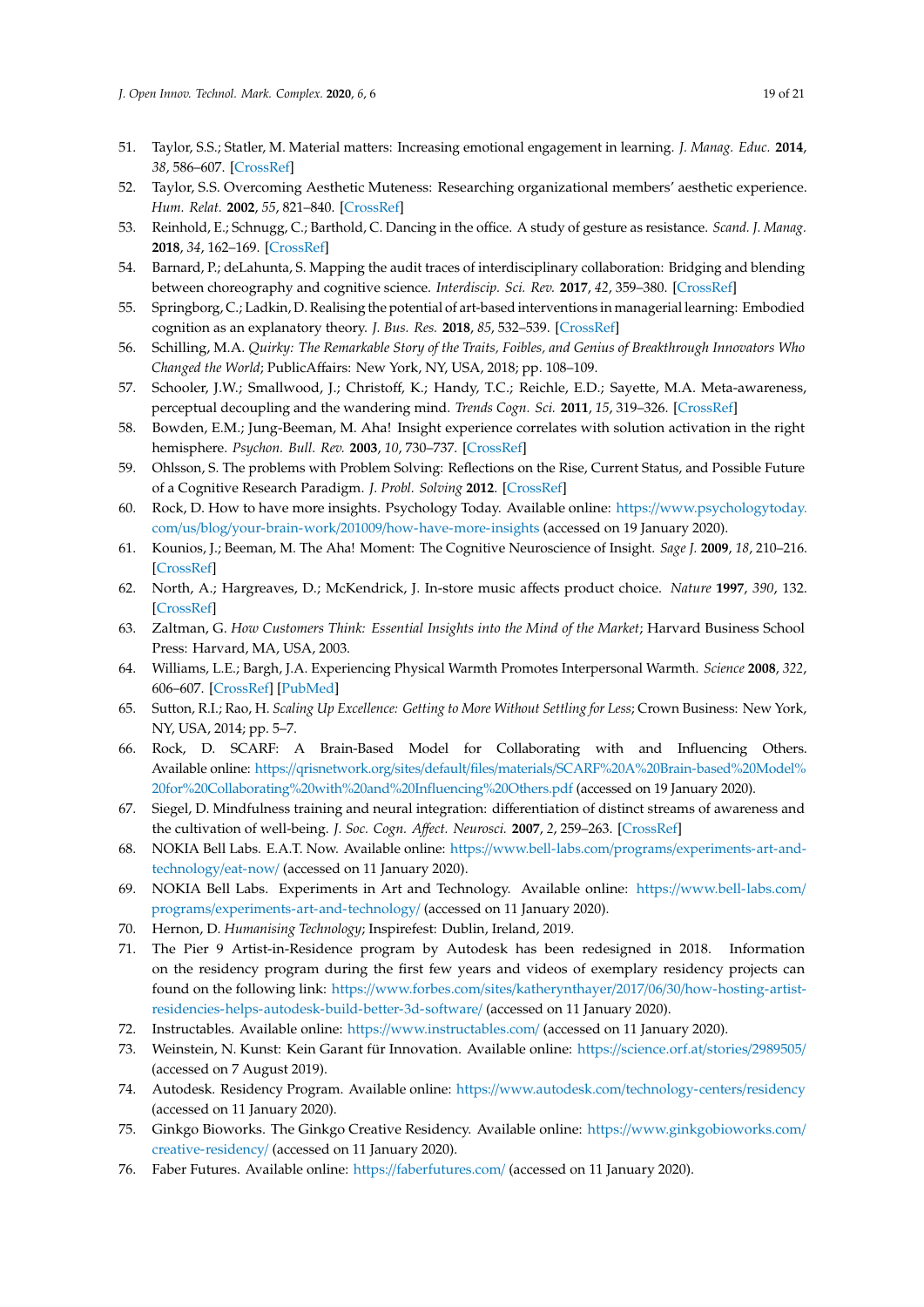- <span id="page-18-0"></span>51. Taylor, S.S.; Statler, M. Material matters: Increasing emotional engagement in learning. *J. Manag. Educ.* **2014**, *38*, 586–607. [\[CrossRef\]](http://dx.doi.org/10.1177/1052562913489976)
- <span id="page-18-1"></span>52. Taylor, S.S. Overcoming Aesthetic Muteness: Researching organizational members' aesthetic experience. *Hum. Relat.* **2002**, *55*, 821–840. [\[CrossRef\]](http://dx.doi.org/10.1177/0018726702055007542)
- <span id="page-18-2"></span>53. Reinhold, E.; Schnugg, C.; Barthold, C. Dancing in the office. A study of gesture as resistance. *Scand. J. Manag.* **2018**, *34*, 162–169. [\[CrossRef\]](http://dx.doi.org/10.1016/j.scaman.2018.05.001)
- 54. Barnard, P.; deLahunta, S. Mapping the audit traces of interdisciplinary collaboration: Bridging and blending between choreography and cognitive science. *Interdiscip. Sci. Rev.* **2017**, *42*, 359–380. [\[CrossRef\]](http://dx.doi.org/10.1080/03080188.2017.1381226)
- <span id="page-18-3"></span>55. Springborg, C.; Ladkin, D. Realising the potential of art-based interventions in managerial learning: Embodied cognition as an explanatory theory. *J. Bus. Res.* **2018**, *85*, 532–539. [\[CrossRef\]](http://dx.doi.org/10.1016/j.jbusres.2017.10.032)
- <span id="page-18-4"></span>56. Schilling, M.A. *Quirky: The Remarkable Story of the Traits, Foibles, and Genius of Breakthrough Innovators Who Changed the World*; PublicAffairs: New York, NY, USA, 2018; pp. 108–109.
- <span id="page-18-5"></span>57. Schooler, J.W.; Smallwood, J.; Christoff, K.; Handy, T.C.; Reichle, E.D.; Sayette, M.A. Meta-awareness, perceptual decoupling and the wandering mind. *Trends Cogn. Sci.* **2011**, *15*, 319–326. [\[CrossRef\]](http://dx.doi.org/10.1016/j.tics.2011.05.006)
- 58. Bowden, E.M.; Jung-Beeman, M. Aha! Insight experience correlates with solution activation in the right hemisphere. *Psychon. Bull. Rev.* **2003**, *10*, 730–737. [\[CrossRef\]](http://dx.doi.org/10.3758/BF03196539)
- 59. Ohlsson, S. The problems with Problem Solving: Reflections on the Rise, Current Status, and Possible Future of a Cognitive Research Paradigm. *J. Probl. Solving* **2012**. [\[CrossRef\]](http://dx.doi.org/10.7771/1932-6246.1144)
- <span id="page-18-6"></span>60. Rock, D. How to have more insights. Psychology Today. Available online: https://[www.psychologytoday.](https://www.psychologytoday.com/us/blog/your-brain-work/201009/how-have-more-insights) com/us/blog/your-brain-work/201009/[how-have-more-insights](https://www.psychologytoday.com/us/blog/your-brain-work/201009/how-have-more-insights) (accessed on 19 January 2020).
- <span id="page-18-7"></span>61. Kounios, J.; Beeman, M. The Aha! Moment: The Cognitive Neuroscience of Insight. *Sage J.* **2009**, *18*, 210–216. [\[CrossRef\]](http://dx.doi.org/10.1111/j.1467-8721.2009.01638.x)
- <span id="page-18-8"></span>62. North, A.; Hargreaves, D.; McKendrick, J. In-store music affects product choice. *Nature* **1997**, *390*, 132. [\[CrossRef\]](http://dx.doi.org/10.1038/36484)
- <span id="page-18-9"></span>63. Zaltman, G. *How Customers Think: Essential Insights into the Mind of the Market*; Harvard Business School Press: Harvard, MA, USA, 2003.
- <span id="page-18-10"></span>64. Williams, L.E.; Bargh, J.A. Experiencing Physical Warmth Promotes Interpersonal Warmth. *Science* **2008**, *322*, 606–607. [\[CrossRef\]](http://dx.doi.org/10.1126/science.1162548) [\[PubMed\]](http://www.ncbi.nlm.nih.gov/pubmed/18948544)
- <span id="page-18-11"></span>65. Sutton, R.I.; Rao, H. *Scaling Up Excellence: Getting to More Without Settling for Less*; Crown Business: New York, NY, USA, 2014; pp. 5–7.
- <span id="page-18-12"></span>66. Rock, D. SCARF: A Brain-Based Model for Collaborating with and Influencing Others. Available online: https://qrisnetwork.org/sites/default/files/materials/[SCARF%20A%20Brain-based%20Model%](https://qrisnetwork.org/sites/default/files/materials/SCARF%20A%20Brain-based%20Model%20for%20Collaborating%20with%20and%20Influencing%20Others.pdf) [20for%20Collaborating%20with%20and%20Influencing%20Others.pdf](https://qrisnetwork.org/sites/default/files/materials/SCARF%20A%20Brain-based%20Model%20for%20Collaborating%20with%20and%20Influencing%20Others.pdf) (accessed on 19 January 2020).
- <span id="page-18-13"></span>67. Siegel, D. Mindfulness training and neural integration: differentiation of distinct streams of awareness and the cultivation of well-being. *J. Soc. Cogn. A*ff*ect. Neurosci.* **2007**, *2*, 259–263. [\[CrossRef\]](http://dx.doi.org/10.1093/scan/nsm034)
- <span id="page-18-14"></span>68. NOKIA Bell Labs. E.A.T. Now. Available online: https://www.bell-labs.com/programs/[experiments-art-and](https://www.bell-labs.com/programs/experiments-art-and-technology/eat-now/)[technology](https://www.bell-labs.com/programs/experiments-art-and-technology/eat-now/)/eat-now/ (accessed on 11 January 2020).
- <span id="page-18-15"></span>69. NOKIA Bell Labs. Experiments in Art and Technology. Available online: https://[www.bell-labs.com](https://www.bell-labs.com/programs/experiments-art-and-technology/)/ programs/[experiments-art-and-technology](https://www.bell-labs.com/programs/experiments-art-and-technology/)/ (accessed on 11 January 2020).
- <span id="page-18-16"></span>70. Hernon, D. *Humanising Technology*; Inspirefest: Dublin, Ireland, 2019.
- <span id="page-18-17"></span>71. The Pier 9 Artist-in-Residence program by Autodesk has been redesigned in 2018. Information on the residency program during the first few years and videos of exemplary residency projects can found on the following link: https://www.forbes.com/sites/katherynthayer/2017/06/30/[how-hosting-artist](https://www.forbes.com/sites/katherynthayer/2017/06/30/how-hosting-artist-residencies-helps-autodesk-build-better-3d-software/)[residencies-helps-autodesk-build-better-3d-software](https://www.forbes.com/sites/katherynthayer/2017/06/30/how-hosting-artist-residencies-helps-autodesk-build-better-3d-software/)/ (accessed on 11 January 2020).
- <span id="page-18-18"></span>72. Instructables. Available online: https://[www.instructables.com](https://www.instructables.com/)/ (accessed on 11 January 2020).
- <span id="page-18-19"></span>73. Weinstein, N. Kunst: Kein Garant für Innovation. Available online: https://[science.orf.at](https://science.orf.at/stories/2989505/)/stories/2989505/ (accessed on 7 August 2019).
- <span id="page-18-20"></span>74. Autodesk. Residency Program. Available online: https://[www.autodesk.com](https://www.autodesk.com/technology-centers/residency)/technology-centers/residency (accessed on 11 January 2020).
- <span id="page-18-21"></span>75. Ginkgo Bioworks. The Ginkgo Creative Residency. Available online: https://[www.ginkgobioworks.com](https://www.ginkgobioworks.com/creative-residency/)/ [creative-residency](https://www.ginkgobioworks.com/creative-residency/)/ (accessed on 11 January 2020).
- <span id="page-18-22"></span>76. Faber Futures. Available online: https://[faberfutures.com](https://faberfutures.com/)/ (accessed on 11 January 2020).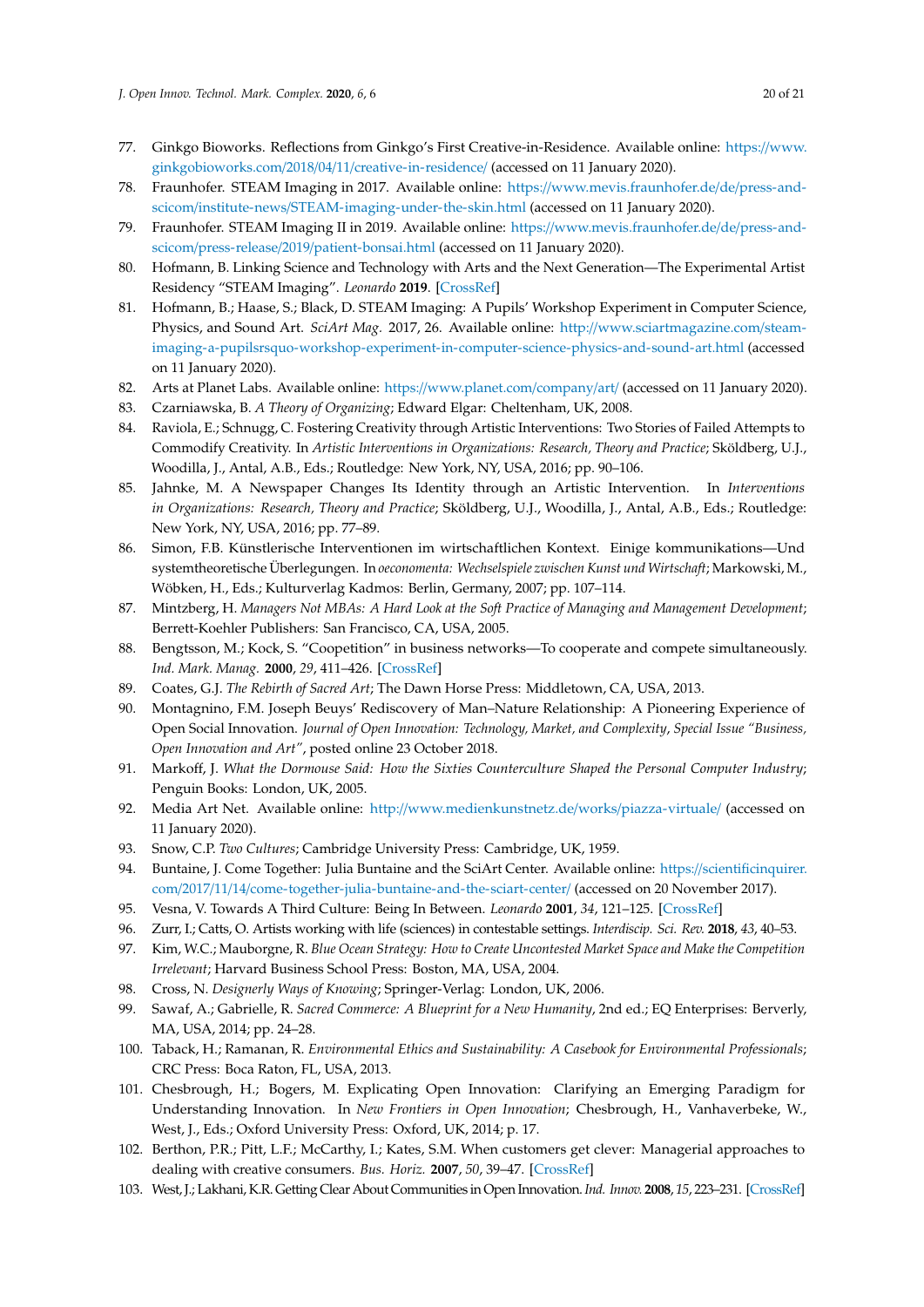- <span id="page-19-0"></span>77. Ginkgo Bioworks. Reflections from Ginkgo's First Creative-in-Residence. Available online: https://[www.](https://www.ginkgobioworks.com/2018/04/11/creative-in-residence/) [ginkgobioworks.com](https://www.ginkgobioworks.com/2018/04/11/creative-in-residence/)/2018/04/11/creative-in-residence/ (accessed on 11 January 2020).
- <span id="page-19-1"></span>78. Fraunhofer. STEAM Imaging in 2017. Available online: https://[www.mevis.fraunhofer.de](https://www.mevis.fraunhofer.de/de/press-and-scicom/institute-news/STEAM-imaging-under-the-skin.html)/de/press-andscicom/institute-news/[STEAM-imaging-under-the-skin.html](https://www.mevis.fraunhofer.de/de/press-and-scicom/institute-news/STEAM-imaging-under-the-skin.html) (accessed on 11 January 2020).
- <span id="page-19-2"></span>79. Fraunhofer. STEAM Imaging II in 2019. Available online: https://[www.mevis.fraunhofer.de](https://www.mevis.fraunhofer.de/de/press-and-scicom/press-release/2019/patient-bonsai.html)/de/press-andscicom/press-release/2019/[patient-bonsai.html](https://www.mevis.fraunhofer.de/de/press-and-scicom/press-release/2019/patient-bonsai.html) (accessed on 11 January 2020).
- <span id="page-19-3"></span>80. Hofmann, B. Linking Science and Technology with Arts and the Next Generation—The Experimental Artist Residency "STEAM Imaging". *Leonardo* **2019**. [\[CrossRef\]](http://dx.doi.org/10.1162/leon_a_01792)
- <span id="page-19-4"></span>81. Hofmann, B.; Haase, S.; Black, D. STEAM Imaging: A Pupils' Workshop Experiment in Computer Science, Physics, and Sound Art. *SciArt Mag.* 2017, 26. Available online: http://[www.sciartmagazine.com](http://www.sciartmagazine.com/steam-imaging-a-pupilsrsquo-workshop-experiment-in-computer-science-physics-and-sound-art.html)/steam[imaging-a-pupilsrsquo-workshop-experiment-in-computer-science-physics-and-sound-art.html](http://www.sciartmagazine.com/steam-imaging-a-pupilsrsquo-workshop-experiment-in-computer-science-physics-and-sound-art.html) (accessed on 11 January 2020).
- <span id="page-19-5"></span>82. Arts at Planet Labs. Available online: https://[www.planet.com](https://www.planet.com/company/art/)/company/art/ (accessed on 11 January 2020).
- <span id="page-19-6"></span>83. Czarniawska, B. *A Theory of Organizing*; Edward Elgar: Cheltenham, UK, 2008.
- <span id="page-19-7"></span>84. Raviola, E.; Schnugg, C. Fostering Creativity through Artistic Interventions: Two Stories of Failed Attempts to Commodify Creativity. In *Artistic Interventions in Organizations: Research, Theory and Practice*; Sköldberg, U.J., Woodilla, J., Antal, A.B., Eds.; Routledge: New York, NY, USA, 2016; pp. 90–106.
- <span id="page-19-8"></span>85. Jahnke, M. A Newspaper Changes Its Identity through an Artistic Intervention. In *Interventions in Organizations: Research, Theory and Practice*; Sköldberg, U.J., Woodilla, J., Antal, A.B., Eds.; Routledge: New York, NY, USA, 2016; pp. 77–89.
- <span id="page-19-9"></span>86. Simon, F.B. Künstlerische Interventionen im wirtschaftlichen Kontext. Einige kommunikations—Und systemtheoretische Überlegungen. In *oeconomenta: Wechselspiele zwischen Kunst und Wirtschaft*; Markowski, M., Wöbken, H., Eds.; Kulturverlag Kadmos: Berlin, Germany, 2007; pp. 107–114.
- <span id="page-19-10"></span>87. Mintzberg, H. *Managers Not MBAs: A Hard Look at the Soft Practice of Managing and Management Development*; Berrett-Koehler Publishers: San Francisco, CA, USA, 2005.
- <span id="page-19-11"></span>88. Bengtsson, M.; Kock, S. "Coopetition" in business networks—To cooperate and compete simultaneously. *Ind. Mark. Manag.* **2000**, *29*, 411–426. [\[CrossRef\]](http://dx.doi.org/10.1016/S0019-8501(99)00067-X)
- <span id="page-19-12"></span>89. Coates, G.J. *The Rebirth of Sacred Art*; The Dawn Horse Press: Middletown, CA, USA, 2013.
- <span id="page-19-13"></span>90. Montagnino, F.M. Joseph Beuys' Rediscovery of Man–Nature Relationship: A Pioneering Experience of Open Social Innovation. *Journal of Open Innovation: Technology, Market, and Complexity*, *Special Issue "Business, Open Innovation and Art"*, posted online 23 October 2018.
- <span id="page-19-14"></span>91. Markoff, J. *What the Dormouse Said: How the Sixties Counterculture Shaped the Personal Computer Industry*; Penguin Books: London, UK, 2005.
- <span id="page-19-15"></span>92. Media Art Net. Available online: http://[www.medienkunstnetz.de](http://www.medienkunstnetz.de/works/piazza-virtuale/)/works/piazza-virtuale/ (accessed on 11 January 2020).
- <span id="page-19-16"></span>93. Snow, C.P. *Two Cultures*; Cambridge University Press: Cambridge, UK, 1959.
- <span id="page-19-17"></span>94. Buntaine, J. Come Together: Julia Buntaine and the SciArt Center. Available online: https://[scientificinquirer.](https://scientificinquirer.com/2017/11/14/come-together-julia-buntaine-and-the-sciart-center/) com/2017/11/14/[come-together-julia-buntaine-and-the-sciart-center](https://scientificinquirer.com/2017/11/14/come-together-julia-buntaine-and-the-sciart-center/)/ (accessed on 20 November 2017).
- <span id="page-19-18"></span>95. Vesna, V. Towards A Third Culture: Being In Between. *Leonardo* **2001**, *34*, 121–125. [\[CrossRef\]](http://dx.doi.org/10.1162/002409401750184672)
- <span id="page-19-19"></span>96. Zurr, I.; Catts, O. Artists working with life (sciences) in contestable settings. *Interdiscip. Sci. Rev.* **2018**, *43*, 40–53.
- <span id="page-19-20"></span>97. Kim, W.C.; Mauborgne, R. *Blue Ocean Strategy: How to Create Uncontested Market Space and Make the Competition Irrelevant*; Harvard Business School Press: Boston, MA, USA, 2004.
- <span id="page-19-21"></span>98. Cross, N. *Designerly Ways of Knowing*; Springer-Verlag: London, UK, 2006.
- <span id="page-19-22"></span>99. Sawaf, A.; Gabrielle, R. *Sacred Commerce: A Blueprint for a New Humanity*, 2nd ed.; EQ Enterprises: Berverly, MA, USA, 2014; pp. 24–28.
- <span id="page-19-23"></span>100. Taback, H.; Ramanan, R. *Environmental Ethics and Sustainability: A Casebook for Environmental Professionals*; CRC Press: Boca Raton, FL, USA, 2013.
- <span id="page-19-24"></span>101. Chesbrough, H.; Bogers, M. Explicating Open Innovation: Clarifying an Emerging Paradigm for Understanding Innovation. In *New Frontiers in Open Innovation*; Chesbrough, H., Vanhaverbeke, W., West, J., Eds.; Oxford University Press: Oxford, UK, 2014; p. 17.
- <span id="page-19-25"></span>102. Berthon, P.R.; Pitt, L.F.; McCarthy, I.; Kates, S.M. When customers get clever: Managerial approaches to dealing with creative consumers. *Bus. Horiz.* **2007**, *50*, 39–47. [\[CrossRef\]](http://dx.doi.org/10.1016/j.bushor.2006.05.005)
- <span id="page-19-26"></span>103. West, J.; Lakhani, K.R. Getting Clear About Communities in Open Innovation.*Ind. Innov.* **2008**, *15*, 223–231. [\[CrossRef\]](http://dx.doi.org/10.1080/13662710802033734)